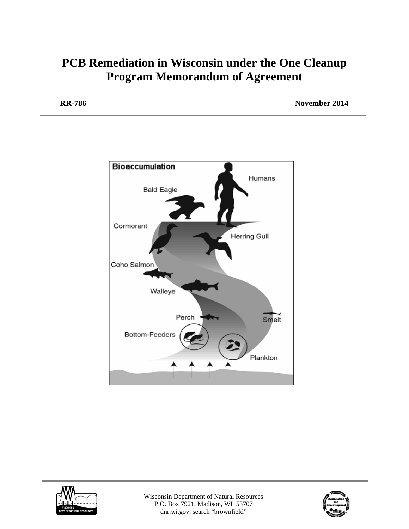# **PCB Remediation in Wisconsin under the One Cleanup Program Memorandum of Agreement**

**RR-786 November 2014**





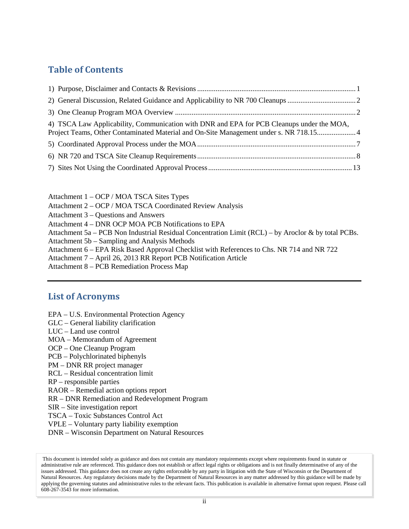# **Table of Contents**

| 4) TSCA Law Applicability, Communication with DNR and EPA for PCB Cleanups under the MOA,<br>Project Teams, Other Contaminated Material and On-Site Management under s. NR 718.154 |  |
|------------------------------------------------------------------------------------------------------------------------------------------------------------------------------------|--|
|                                                                                                                                                                                    |  |
|                                                                                                                                                                                    |  |
|                                                                                                                                                                                    |  |

Attachment 1 – OCP / MOA TSCA Sites Types Attachment 2 – OCP / MOA TSCA Coordinated Review Analysis Attachment 3 – Questions and Answers Attachment 4 – DNR OCP MOA PCB Notifications to EPA Attachment 5a – PCB Non Industrial Residual Concentration Limit (RCL) – by Aroclor & by total PCBs. Attachment 5b – Sampling and Analysis Methods Attachment 6 – EPA Risk Based Approval Checklist with References to Chs. NR 714 and NR 722 Attachment 7 – April 26, 2013 RR Report PCB Notification Article

Attachment 8 – PCB Remediation Process Map

# **List of Acronyms**

- EPA U.S. Environmental Protection Agency
- GLC General liability clarification
- LUC Land use control
- MOA Memorandum of Agreement
- OCP One Cleanup Program
- PCB Polychlorinated biphenyls
- PM DNR RR project manager
- RCL Residual concentration limit
- RP responsible parties
- RAOR Remedial action options report
- RR DNR Remediation and Redevelopment Program
- SIR Site investigation report
- TSCA Toxic Substances Control Act
- VPLE Voluntary party liability exemption
- DNR Wisconsin Department on Natural Resources

This document is intended solely as guidance and does not contain any mandatory requirements except where requirements found in statute or administrative rule are referenced. This guidance does not establish or affect legal rights or obligations and is not finally determinative of any of the issues addressed. This guidance does not create any rights enforceable by any party in litigation with the State of Wisconsin or the Department of Natural Resources. Any regulatory decisions made by the Department of Natural Resources in any matter addressed by this guidance will be made by applying the governing statutes and administrative rules to the relevant facts. This publication is available in alternative format upon request. Please call 608-267-3543 for more information.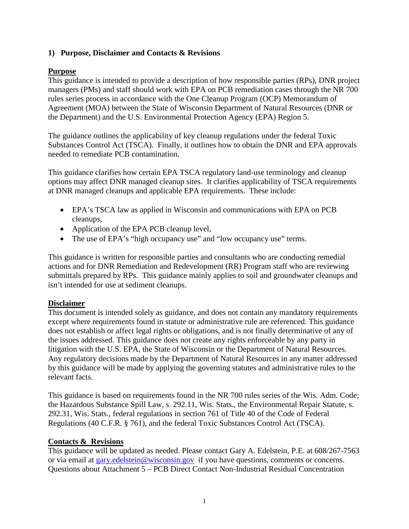## <span id="page-2-0"></span>**1) Purpose, Disclaimer and Contacts & Revisions**

# **Purpose**

This guidance is intended to provide a description of how responsible parties (RPs), DNR project managers (PMs) and staff should work with EPA on PCB remediation cases through the NR 700 rules series process in accordance with the One Cleanup Program (OCP) Memorandum of Agreement (MOA) between the State of Wisconsin Department of Natural Resources (DNR or the Department) and the U.S. Environmental Protection Agency (EPA) Region 5.

The guidance outlines the applicability of key cleanup regulations under the federal Toxic Substances Control Act (TSCA). Finally, it outlines how to obtain the DNR and EPA approvals needed to remediate PCB contamination.

This guidance clarifies how certain EPA TSCA regulatory land-use terminology and cleanup options may affect DNR managed cleanup sites. It clarifies applicability of TSCA requirements at DNR managed cleanups and applicable EPA requirements. These include:

- EPA's TSCA law as applied in Wisconsin and communications with EPA on PCB cleanups,
- Application of the EPA PCB cleanup level,
- The use of EPA's "high occupancy use" and "low occupancy use" terms.

This guidance is written for responsible parties and consultants who are conducting remedial actions and for DNR Remediation and Redevelopment (RR) Program staff who are reviewing submittals prepared by RPs. This guidance mainly applies to soil and groundwater cleanups and isn't intended for use at sediment cleanups.

## **Disclaimer**

This document is intended solely as guidance, and does not contain any mandatory requirements except where requirements found in statute or administrative rule are referenced. This guidance does not establish or affect legal rights or obligations, and is not finally determinative of any of the issues addressed. This guidance does not create any rights enforceable by any party in litigation with the U.S. EPA, the State of Wisconsin or the Department of Natural Resources. Any regulatory decisions made by the Department of Natural Resources in any matter addressed by this guidance will be made by applying the governing statutes and administrative rules to the relevant facts.

This guidance is based on requirements found in the NR 700 rules series of the Wis. Adm. Code; the Hazardous Substance Spill Law, s. 292.11, Wis. Stats., the Environmental Repair Statute, s. 292.31, Wis. Stats., federal regulations in section 761 of Title 40 of the Code of Federal Regulations (40 C.F.R. § 761), and the federal Toxic Substances Control Act (TSCA).

## **Contacts & Revisions**

This guidance will be updated as needed. Please contact Gary A. Edelstein, P.E. at 608/267-7563 or via email at [gary.edelstein@wisconsin.gov](mailto:Gary.Edelstein@wisconsin.gov) if you have questions, comments or concerns. Questions about Attachment 5 – PCB Direct Contact Non-Industrial Residual Concentration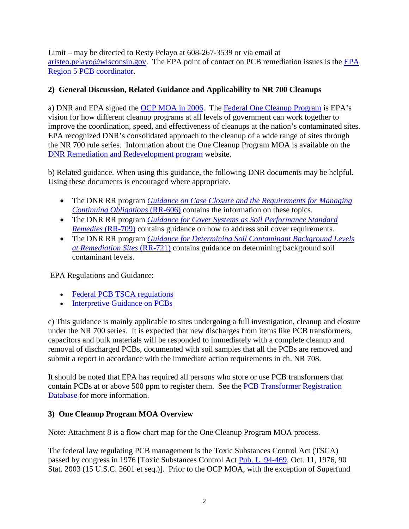Limit – may be directed to Resty Pelayo at 608-267-3539 or via email at [aristeo.pelayo@wisconsin.gov.](mailto:aristeo.pelayo@wisconsin.gov) The EPA point of contact on PCB remediation issues is the [EPA](http://www.epa.gov/epawaste/hazard/tsd/pcbs/pubs/coordin.htm)  [Region 5 PCB coordinator.](http://www.epa.gov/epawaste/hazard/tsd/pcbs/pubs/coordin.htm)

# <span id="page-3-0"></span>**2) General Discussion, Related Guidance and Applicability to NR 700 Cleanups**

a) DNR and EPA signed the [OCP MOA](http://dnr.wi.gov/topic/Brownfields/documents/ocp.pdf) in 2006. The [Federal One Cleanup Program](http://www.epa.gov/oswer/onecleanupprogram/) is EPA's vision for how different cleanup programs at all levels of government can work together to improve the coordination, speed, and effectiveness of cleanups at the nation's contaminated sites. EPA recognized DNR's consolidated approach to the cleanup of a wide range of sites through the NR 700 rule series. Information about the One Cleanup Program MOA is available on the [DNR Remediation and Redevelopment program](http://dnr.wi.gov/topic/brownfields/rrprogram.html) website.

b) Related guidance. When using this guidance, the following DNR documents may be helpful. Using these documents is encouraged where appropriate.

- The DNR RR program *[Guidance on Case Closure and the Requirements for Managing](http://dnr.wi.gov/files/PDF/pubs/rr/RR606.pdf)  [Continuing Obligations](http://dnr.wi.gov/files/PDF/pubs/rr/RR606.pdf)* (RR-606) contains the information on these topics.
- The DNR RR program *[Guidance for Cover Systems as Soil Performance Standard](http://dnr.wi.gov/files/PDF/pubs/rr/RR709.pdf)  Remedies* [\(RR-709\)](http://dnr.wi.gov/files/PDF/pubs/rr/RR709.pdf) contains guidance on how to address soil cover requirements.
- The DNR RR program *[Guidance for Determining Soil Contaminant Background Levels](http://dnr.wi.gov/files/PDF/pubs/rr/RR721.pdf)  [at Remediation Sites](http://dnr.wi.gov/files/PDF/pubs/rr/RR721.pdf)* (RR-721) contains guidance on determining background soil contaminant levels.

EPA Regulations and Guidance:

- [Federal PCB TSCA regulations](http://www.epa.gov/epawaste/hazard/tsd/pcbs/pubs/laws.htm)
- Interpretive Guidance on PCBs

c) This guidance is mainly applicable to sites undergoing a full investigation, cleanup and closure under the NR 700 series. It is expected that new discharges from items like PCB transformers, capacitors and bulk materials will be responded to immediately with a complete cleanup and removal of discharged PCBs, documented with soil samples that all the PCBs are removed and submit a report in accordance with the immediate action requirements in ch. NR 708.

It should be noted that EPA has required all persons who store or use PCB transformers that contain PCBs at or above 500 ppm to register them. See the [PCB Transformer Registration](http://www.epa.gov/epawaste/hazard/tsd/pcbs/pubs/data.htm)  [Database](http://www.epa.gov/epawaste/hazard/tsd/pcbs/pubs/data.htm) for more information.

## <span id="page-3-1"></span>**3) One Cleanup Program MOA Overview**

Note: Attachment 8 is a flow chart map for the One Cleanup Program MOA process.

The federal law regulating PCB management is the Toxic Substances Control Act (TSCA) passed by congress in 1976 [Toxic Substances Control Act [Pub. L. 94-469,](http://www.law.cornell.edu/usc-cgi/get_external.cgi?type=pubL&target=94-469) Oct. 11, 1976, 90 Stat. 2003 (15 U.S.C. 2601 et seq.)]. Prior to the OCP MOA, with the exception of Superfund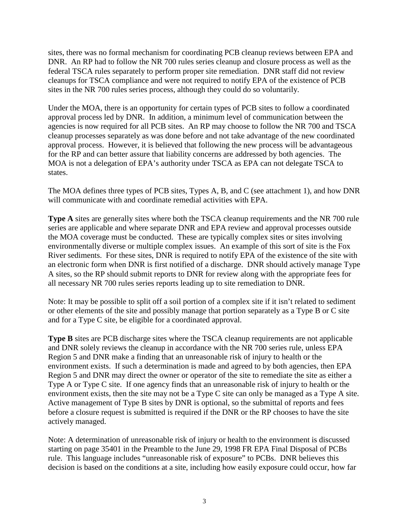sites, there was no formal mechanism for coordinating PCB cleanup reviews between EPA and DNR. An RP had to follow the NR 700 rules series cleanup and closure process as well as the federal TSCA rules separately to perform proper site remediation. DNR staff did not review cleanups for TSCA compliance and were not required to notify EPA of the existence of PCB sites in the NR 700 rules series process, although they could do so voluntarily.

Under the MOA, there is an opportunity for certain types of PCB sites to follow a coordinated approval process led by DNR. In addition, a minimum level of communication between the agencies is now required for all PCB sites. An RP may choose to follow the NR 700 and TSCA cleanup processes separately as was done before and not take advantage of the new coordinated approval process. However, it is believed that following the new process will be advantageous for the RP and can better assure that liability concerns are addressed by both agencies. The MOA is not a delegation of EPA's authority under TSCA as EPA can not delegate TSCA to states.

The MOA defines three types of PCB sites, Types A, B, and C (see attachment 1), and how DNR will communicate with and coordinate remedial activities with EPA.

**Type A** sites are generally sites where both the TSCA cleanup requirements and the NR 700 rule series are applicable and where separate DNR and EPA review and approval processes outside the MOA coverage must be conducted. These are typically complex sites or sites involving environmentally diverse or multiple complex issues. An example of this sort of site is the Fox River sediments. For these sites, DNR is required to notify EPA of the existence of the site with an electronic form when DNR is first notified of a discharge. DNR should actively manage Type A sites, so the RP should submit reports to DNR for review along with the appropriate fees for all necessary NR 700 rules series reports leading up to site remediation to DNR.

Note: It may be possible to split off a soil portion of a complex site if it isn't related to sediment or other elements of the site and possibly manage that portion separately as a Type B or C site and for a Type C site, be eligible for a coordinated approval.

**Type B** sites are PCB discharge sites where the TSCA cleanup requirements are not applicable and DNR solely reviews the cleanup in accordance with the NR 700 series rule, unless EPA Region 5 and DNR make a finding that an unreasonable risk of injury to health or the environment exists. If such a determination is made and agreed to by both agencies, then EPA Region 5 and DNR may direct the owner or operator of the site to remediate the site as either a Type A or Type C site. If one agency finds that an unreasonable risk of injury to health or the environment exists, then the site may not be a Type C site can only be managed as a Type A site. Active management of Type B sites by DNR is optional, so the submittal of reports and fees before a closure request is submitted is required if the DNR or the RP chooses to have the site actively managed.

Note: A determination of unreasonable risk of injury or health to the environment is discussed starting on page 35401 in the Preamble to the June 29, 1998 FR EPA Final Disposal of PCBs rule. This language includes "unreasonable risk of exposure" to PCBs. DNR believes this decision is based on the conditions at a site, including how easily exposure could occur, how far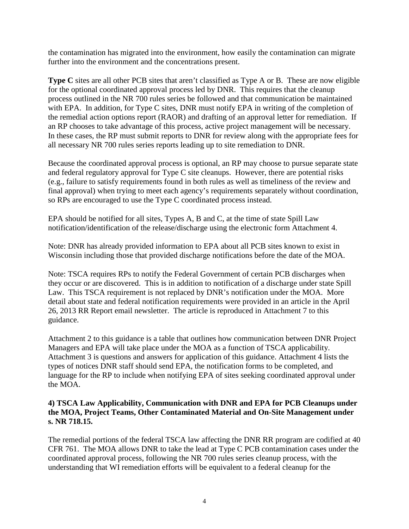the contamination has migrated into the environment, how easily the contamination can migrate further into the environment and the concentrations present.

**Type C** sites are all other PCB sites that aren't classified as Type A or B. These are now eligible for the optional coordinated approval process led by DNR. This requires that the cleanup process outlined in the NR 700 rules series be followed and that communication be maintained with EPA. In addition, for Type C sites, DNR must notify EPA in writing of the completion of the remedial action options report (RAOR) and drafting of an approval letter for remediation. If an RP chooses to take advantage of this process, active project management will be necessary. In these cases, the RP must submit reports to DNR for review along with the appropriate fees for all necessary NR 700 rules series reports leading up to site remediation to DNR.

Because the coordinated approval process is optional, an RP may choose to pursue separate state and federal regulatory approval for Type C site cleanups. However, there are potential risks (e.g., failure to satisfy requirements found in both rules as well as timeliness of the review and final approval) when trying to meet each agency's requirements separately without coordination, so RPs are encouraged to use the Type C coordinated process instead.

EPA should be notified for all sites, Types A, B and C, at the time of state Spill Law notification/identification of the release/discharge using the electronic form Attachment 4.

Note: DNR has already provided information to EPA about all PCB sites known to exist in Wisconsin including those that provided discharge notifications before the date of the MOA.

Note: TSCA requires RPs to notify the Federal Government of certain PCB discharges when they occur or are discovered. This is in addition to notification of a discharge under state Spill Law. This TSCA requirement is not replaced by DNR's notification under the MOA. More detail about state and federal notification requirements were provided in an article in the April 26, 2013 RR Report email newsletter. The article is reproduced in Attachment 7 to this guidance.

Attachment 2 to this guidance is a table that outlines how communication between DNR Project Managers and EPA will take place under the MOA as a function of TSCA applicability. Attachment 3 is questions and answers for application of this guidance. Attachment 4 lists the types of notices DNR staff should send EPA, the notification forms to be completed, and language for the RP to include when notifying EPA of sites seeking coordinated approval under the MOA.

## <span id="page-5-0"></span>**4) TSCA Law Applicability, Communication with DNR and EPA for PCB Cleanups under the MOA, Project Teams, Other Contaminated Material and On-Site Management under s. NR 718.15.**

The remedial portions of the federal TSCA law affecting the DNR RR program are codified at 40 CFR 761. The MOA allows DNR to take the lead at Type C PCB contamination cases under the coordinated approval process, following the NR 700 rules series cleanup process, with the understanding that WI remediation efforts will be equivalent to a federal cleanup for the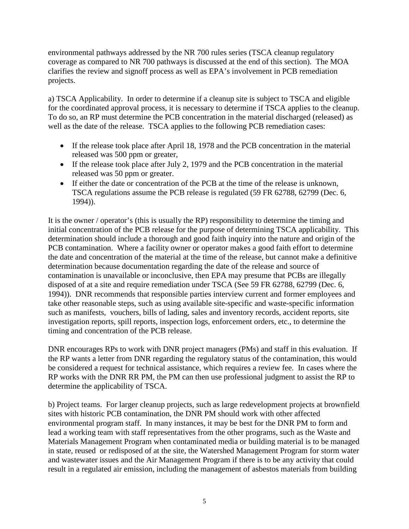environmental pathways addressed by the NR 700 rules series (TSCA cleanup regulatory coverage as compared to NR 700 pathways is discussed at the end of this section). The MOA clarifies the review and signoff process as well as EPA's involvement in PCB remediation projects.

a) TSCA Applicability. In order to determine if a cleanup site is subject to TSCA and eligible for the coordinated approval process, it is necessary to determine if TSCA applies to the cleanup. To do so, an RP must determine the PCB concentration in the material discharged (released) as well as the date of the release. TSCA applies to the following PCB remediation cases:

- If the release took place after April 18, 1978 and the PCB concentration in the material released was 500 ppm or greater,
- If the release took place after July 2, 1979 and the PCB concentration in the material released was 50 ppm or greater.
- If either the date or concentration of the PCB at the time of the release is unknown, TSCA regulations assume the PCB release is regulated (59 FR 62788, 62799 (Dec. 6, 1994)).

It is the owner / operator's (this is usually the RP) responsibility to determine the timing and initial concentration of the PCB release for the purpose of determining TSCA applicability. This determination should include a thorough and good faith inquiry into the nature and origin of the PCB contamination. Where a facility owner or operator makes a good faith effort to determine the date and concentration of the material at the time of the release, but cannot make a definitive determination because documentation regarding the date of the release and source of contamination is unavailable or inconclusive, then EPA may presume that PCBs are illegally disposed of at a site and require remediation under TSCA (See 59 FR 62788, 62799 (Dec. 6, 1994)). DNR recommends that responsible parties interview current and former employees and take other reasonable steps, such as using available site-specific and waste-specific information such as manifests, vouchers, bills of lading, sales and inventory records, accident reports, site investigation reports, spill reports, inspection logs, enforcement orders, etc., to determine the timing and concentration of the PCB release.

DNR encourages RPs to work with DNR project managers (PMs) and staff in this evaluation. If the RP wants a letter from DNR regarding the regulatory status of the contamination, this would be considered a request for technical assistance, which requires a review fee. In cases where the RP works with the DNR RR PM, the PM can then use professional judgment to assist the RP to determine the applicability of TSCA.

b) Project teams. For larger cleanup projects, such as large redevelopment projects at brownfield sites with historic PCB contamination, the DNR PM should work with other affected environmental program staff. In many instances, it may be best for the DNR PM to form and lead a working team with staff representatives from the other programs, such as the Waste and Materials Management Program when contaminated media or building material is to be managed in state, reused or redisposed of at the site, the Watershed Management Program for storm water and wastewater issues and the Air Management Program if there is to be any activity that could result in a regulated air emission, including the management of asbestos materials from building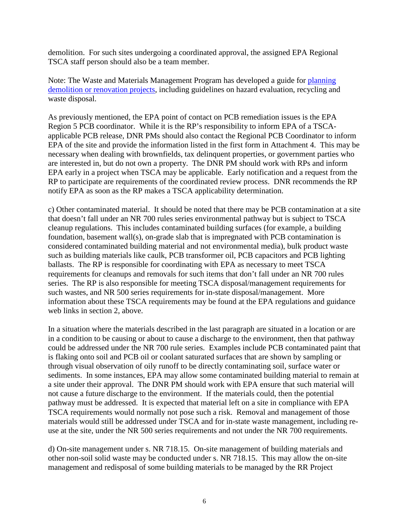demolition. For such sites undergoing a coordinated approval, the assigned EPA Regional TSCA staff person should also be a team member.

Note: The Waste and Materials Management Program has developed a guide for planning demolition or [renovation projects,](http://dnr.wi.gov/files/pdf/pubs/wa/wa651.pdf) including guidelines on hazard evaluation, recycling and waste disposal.

As previously mentioned, the EPA point of contact on PCB remediation issues is the EPA Region 5 PCB coordinator. While it is the RP's responsibility to inform EPA of a TSCAapplicable PCB release, DNR PMs should also contact the Regional PCB Coordinator to inform EPA of the site and provide the information listed in the first form in Attachment 4. This may be necessary when dealing with brownfields, tax delinquent properties, or government parties who are interested in, but do not own a property. The DNR PM should work with RPs and inform EPA early in a project when TSCA may be applicable. Early notification and a request from the RP to participate are requirements of the coordinated review process. DNR recommends the RP notify EPA as soon as the RP makes a TSCA applicability determination.

c) Other contaminated material. It should be noted that there may be PCB contamination at a site that doesn't fall under an NR 700 rules series environmental pathway but is subject to TSCA cleanup regulations. This includes contaminated building surfaces (for example, a building foundation, basement wall(s), on-grade slab that is impregnated with PCB contamination is considered contaminated building material and not environmental media), bulk product waste such as building materials like caulk, PCB transformer oil, PCB capacitors and PCB lighting ballasts. The RP is responsible for coordinating with EPA as necessary to meet TSCA requirements for cleanups and removals for such items that don't fall under an NR 700 rules series. The RP is also responsible for meeting TSCA disposal/management requirements for such wastes, and NR 500 series requirements for in-state disposal/management. More information about these TSCA requirements may be found at the EPA regulations and guidance web links in section 2, above.

In a situation where the materials described in the last paragraph are situated in a location or are in a condition to be causing or about to cause a discharge to the environment, then that pathway could be addressed under the NR 700 rule series. Examples include PCB contaminated paint that is flaking onto soil and PCB oil or coolant saturated surfaces that are shown by sampling or through visual observation of oily runoff to be directly contaminating soil, surface water or sediments. In some instances, EPA may allow some contaminated building material to remain at a site under their approval. The DNR PM should work with EPA ensure that such material will not cause a future discharge to the environment. If the materials could, then the potential pathway must be addressed. It is expected that material left on a site in compliance with EPA TSCA requirements would normally not pose such a risk. Removal and management of those materials would still be addressed under TSCA and for in-state waste management, including reuse at the site, under the NR 500 series requirements and not under the NR 700 requirements.

d) On-site management under s. NR 718.15. On-site management of building materials and other non-soil solid waste may be conducted under s. NR 718.15. This may allow the on-site management and redisposal of some building materials to be managed by the RR Project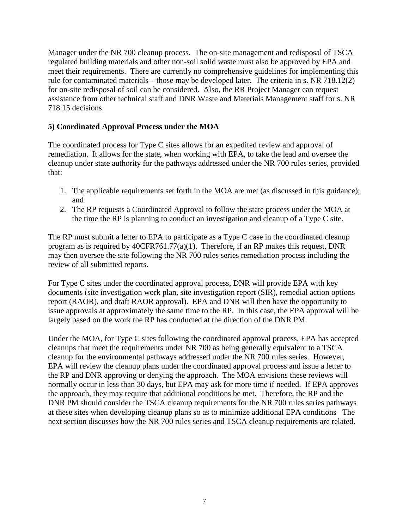Manager under the NR 700 cleanup process. The on-site management and redisposal of TSCA regulated building materials and other non-soil solid waste must also be approved by EPA and meet their requirements. There are currently no comprehensive guidelines for implementing this rule for contaminated materials – those may be developed later. The criteria in s. NR 718.12(2) for on-site redisposal of soil can be considered. Also, the RR Project Manager can request assistance from other technical staff and DNR Waste and Materials Management staff for s. NR 718.15 decisions.

# <span id="page-8-0"></span>**5) Coordinated Approval Process under the MOA**

The coordinated process for Type C sites allows for an expedited review and approval of remediation. It allows for the state, when working with EPA, to take the lead and oversee the cleanup under state authority for the pathways addressed under the NR 700 rules series, provided that:

- 1. The applicable requirements set forth in the MOA are met (as discussed in this guidance); and
- 2. The RP requests a Coordinated Approval to follow the state process under the MOA at the time the RP is planning to conduct an investigation and cleanup of a Type C site.

The RP must submit a letter to EPA to participate as a Type C case in the coordinated cleanup program as is required by 40CFR761.77(a)(1). Therefore, if an RP makes this request, DNR may then oversee the site following the NR 700 rules series remediation process including the review of all submitted reports.

For Type C sites under the coordinated approval process, DNR will provide EPA with key documents (site investigation work plan, site investigation report (SIR), remedial action options report (RAOR), and draft RAOR approval). EPA and DNR will then have the opportunity to issue approvals at approximately the same time to the RP. In this case, the EPA approval will be largely based on the work the RP has conducted at the direction of the DNR PM.

Under the MOA, for Type C sites following the coordinated approval process, EPA has accepted cleanups that meet the requirements under NR 700 as being generally equivalent to a TSCA cleanup for the environmental pathways addressed under the NR 700 rules series. However, EPA will review the cleanup plans under the coordinated approval process and issue a letter to the RP and DNR approving or denying the approach. The MOA envisions these reviews will normally occur in less than 30 days, but EPA may ask for more time if needed. If EPA approves the approach, they may require that additional conditions be met. Therefore, the RP and the DNR PM should consider the TSCA cleanup requirements for the NR 700 rules series pathways at these sites when developing cleanup plans so as to minimize additional EPA conditions The next section discusses how the NR 700 rules series and TSCA cleanup requirements are related.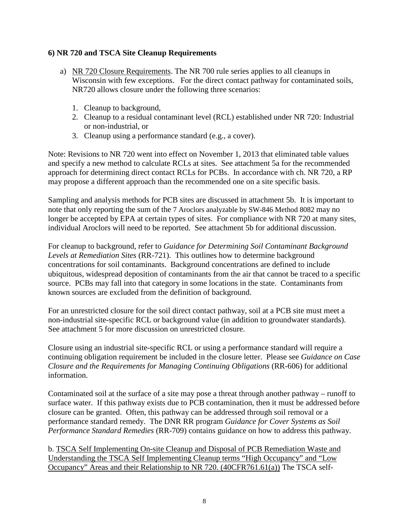#### <span id="page-9-0"></span>**6) NR 720 and TSCA Site Cleanup Requirements**

- a) NR 720 Closure Requirements. The NR 700 rule series applies to all cleanups in Wisconsin with few exceptions. For the direct contact pathway for contaminated soils, NR720 allows closure under the following three scenarios:
	- 1. Cleanup to background,
	- 2. Cleanup to a residual contaminant level (RCL) established under NR 720: Industrial or non-industrial, or
	- 3. Cleanup using a performance standard (e.g., a cover).

Note: Revisions to NR 720 went into effect on November 1, 2013 that eliminated table values and specify a new method to calculate RCLs at sites. See attachment 5a for the recommended approach for determining direct contact RCLs for PCBs. In accordance with ch. NR 720, a RP may propose a different approach than the recommended one on a site specific basis.

Sampling and analysis methods for PCB sites are discussed in attachment 5b. It is important to note that only reporting the sum of the 7 Aroclors analyzable by SW-846 Method 8082 may no longer be accepted by EPA at certain types of sites. For compliance with NR 720 at many sites, individual Aroclors will need to be reported. See attachment 5b for additional discussion.

For cleanup to background, refer to *Guidance for Determining Soil Contaminant Background Levels at Remediation Sites* (RR-721). This outlines how to determine background concentrations for soil contaminants. Background concentrations are defined to include ubiquitous, widespread deposition of contaminants from the air that cannot be traced to a specific source. PCBs may fall into that category in some locations in the state. Contaminants from known sources are excluded from the definition of background.

For an unrestricted closure for the soil direct contact pathway, soil at a PCB site must meet a non-industrial site-specific RCL or background value (in addition to groundwater standards). See attachment 5 for more discussion on unrestricted closure.

Closure using an industrial site-specific RCL or using a performance standard will require a continuing obligation requirement be included in the closure letter. Please see *Guidance on Case Closure and the Requirements for Managing Continuing Obligations* (RR-606) for additional information.

Contaminated soil at the surface of a site may pose a threat through another pathway – runoff to surface water. If this pathway exists due to PCB contamination, then it must be addressed before closure can be granted. Often, this pathway can be addressed through soil removal or a performance standard remedy. The DNR RR program *Guidance for Cover Systems as Soil Performance Standard Remedies* (RR-709) contains guidance on how to address this pathway.

b. TSCA Self Implementing On-site Cleanup and Disposal of PCB Remediation Waste and Understanding the TSCA Self Implementing Cleanup terms "High Occupancy" and "Low Occupancy" Areas and their Relationship to NR 720. (40CFR761.61(a)) The TSCA self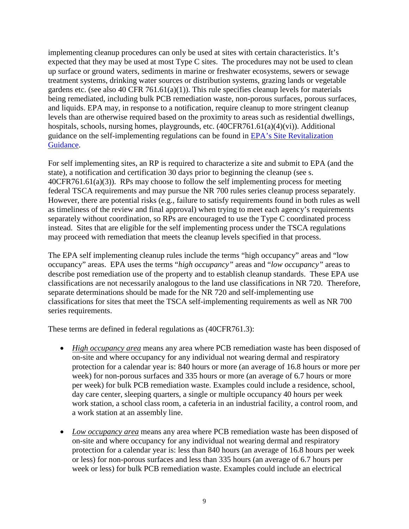implementing cleanup procedures can only be used at sites with certain characteristics. It's expected that they may be used at most Type C sites. The procedures may not be used to clean up surface or ground waters, sediments in marine or freshwater ecosystems, sewers or sewage treatment systems, drinking water sources or distribution systems, grazing lands or vegetable gardens etc. (see also 40 CFR 761.61(a)(1)). This rule specifies cleanup levels for materials being remediated, including bulk PCB remediation waste, non-porous surfaces, porous surfaces, and liquids. EPA may, in response to a notification, require cleanup to more stringent cleanup levels than are otherwise required based on the proximity to areas such as residential dwellings, hospitals, schools, nursing homes, playgrounds, etc. (40CFR761.61(a)(4)(vi)). Additional guidance on the self-implementing regulations can be found in [EPA's Site Revitalization](http://www.epa.gov/epawaste/hazard/tsd/pcbs/pubs/guidance.htm)  [Guidance.](http://www.epa.gov/epawaste/hazard/tsd/pcbs/pubs/guidance.htm)

For self implementing sites, an RP is required to characterize a site and submit to EPA (and the state), a notification and certification 30 days prior to beginning the cleanup (see s. 40CFR761.61(a)(3)). RPs may choose to follow the self implementing process for meeting federal TSCA requirements and may pursue the NR 700 rules series cleanup process separately. However, there are potential risks (e.g., failure to satisfy requirements found in both rules as well as timeliness of the review and final approval) when trying to meet each agency's requirements separately without coordination, so RPs are encouraged to use the Type C coordinated process instead. Sites that are eligible for the self implementing process under the TSCA regulations may proceed with remediation that meets the cleanup levels specified in that process.

The EPA self implementing cleanup rules include the terms "high occupancy" areas and "low occupancy" areas. EPA uses the terms "*high occupancy"* areas and "*low occupancy"* areas to describe post remediation use of the property and to establish cleanup standards. These EPA use classifications are not necessarily analogous to the land use classifications in NR 720. Therefore, separate determinations should be made for the NR 720 and self-implementing use classifications for sites that meet the TSCA self-implementing requirements as well as NR 700 series requirements.

These terms are defined in federal regulations as (40CFR761.3):

- *High occupancy area* means any area where PCB remediation waste has been disposed of on-site and where occupancy for any individual not wearing dermal and respiratory protection for a calendar year is: 840 hours or more (an average of 16.8 hours or more per week) for non-porous surfaces and 335 hours or more (an average of 6.7 hours or more per week) for bulk PCB remediation waste. Examples could include a residence, school, day care center, sleeping quarters, a single or multiple occupancy 40 hours per week work station, a school class room, a cafeteria in an industrial facility, a control room, and a work station at an assembly line.
- *Low occupancy area* means any area where PCB remediation waste has been disposed of on-site and where occupancy for any individual not wearing dermal and respiratory protection for a calendar year is: less than 840 hours (an average of 16.8 hours per week or less) for non-porous surfaces and less than 335 hours (an average of 6.7 hours per week or less) for bulk PCB remediation waste. Examples could include an electrical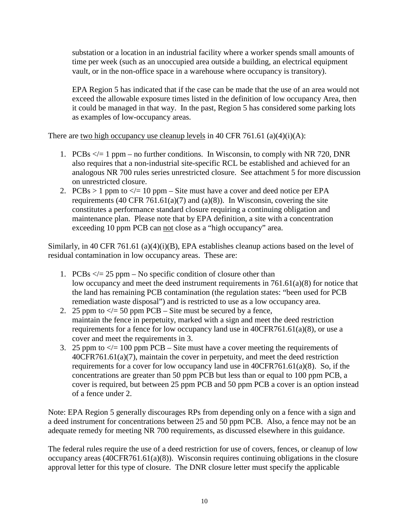substation or a location in an industrial facility where a worker spends small amounts of time per week (such as an unoccupied area outside a building, an electrical equipment vault, or in the non-office space in a warehouse where occupancy is transitory).

EPA Region 5 has indicated that if the case can be made that the use of an area would not exceed the allowable exposure times listed in the definition of low occupancy Area, then it could be managed in that way. In the past, Region 5 has considered some parking lots as examples of low-occupancy areas.

There are two high occupancy use cleanup levels in 40 CFR 761.61 (a)(4)(i)(A):

- 1. PCBs  $\lt$  = 1 ppm no further conditions. In Wisconsin, to comply with NR 720, DNR also requires that a non-industrial site-specific RCL be established and achieved for an analogous NR 700 rules series unrestricted closure. See attachment 5 for more discussion on unrestricted closure.
- 2. PCBs > 1 ppm to  $\lt$  = 10 ppm Site must have a cover and deed notice per EPA requirements (40 CFR 761.61(a)(7) and (a)(8)). In Wisconsin, covering the site constitutes a performance standard closure requiring a continuing obligation and maintenance plan. Please note that by EPA definition, a site with a concentration exceeding 10 ppm PCB can not close as a "high occupancy" area.

Similarly, in 40 CFR 761.61 (a)(4)(i)(B), EPA establishes cleanup actions based on the level of residual contamination in low occupancy areas. These are:

- 1. PCBs  $\lt$  = 25 ppm No specific condition of closure other than low occupancy and meet the deed instrument requirements in 761.61(a)(8) for notice that the land has remaining PCB contamination (the regulation states: "been used for PCB remediation waste disposal") and is restricted to use as a low occupancy area.
- 2. 25 ppm to  $\lt$  = 50 ppm PCB Site must be secured by a fence, maintain the fence in perpetuity, marked with a sign and meet the deed restriction requirements for a fence for low occupancy land use in 40CFR761.61(a)(8), or use a cover and meet the requirements in 3.
- 3. 25 ppm to  $\le$  = 100 ppm PCB Site must have a cover meeting the requirements of 40CFR761.61(a)(7), maintain the cover in perpetuity, and meet the deed restriction requirements for a cover for low occupancy land use in 40CFR761.61(a)(8). So, if the concentrations are greater than 50 ppm PCB but less than or equal to 100 ppm PCB, a cover is required, but between 25 ppm PCB and 50 ppm PCB a cover is an option instead of a fence under 2.

Note: EPA Region 5 generally discourages RPs from depending only on a fence with a sign and a deed instrument for concentrations between 25 and 50 ppm PCB. Also, a fence may not be an adequate remedy for meeting NR 700 requirements, as discussed elsewhere in this guidance.

The federal rules require the use of a deed restriction for use of covers, fences, or cleanup of low occupancy areas (40CFR761.61(a)(8)). Wisconsin requires continuing obligations in the closure approval letter for this type of closure. The DNR closure letter must specify the applicable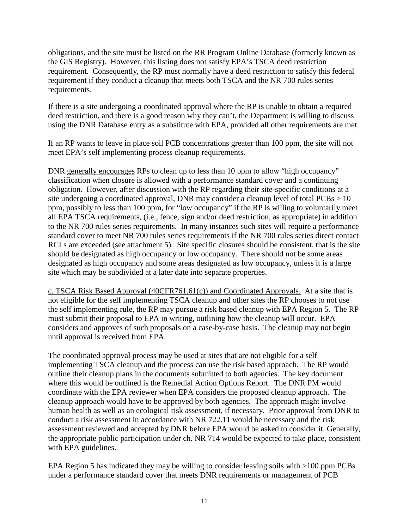obligations, and the site must be listed on the RR Program Online Database (formerly known as the GIS Registry). However, this listing does not satisfy EPA's TSCA deed restriction requirement. Consequently, the RP must normally have a deed restriction to satisfy this federal requirement if they conduct a cleanup that meets both TSCA and the NR 700 rules series requirements.

If there is a site undergoing a coordinated approval where the RP is unable to obtain a required deed restriction, and there is a good reason why they can't, the Department is willing to discuss using the DNR Database entry as a substitute with EPA, provided all other requirements are met.

If an RP wants to leave in place soil PCB concentrations greater than 100 ppm, the site will not meet EPA's self implementing process cleanup requirements.

DNR generally encourages RPs to clean up to less than 10 ppm to allow "high occupancy" classification when closure is allowed with a performance standard cover and a continuing obligation. However, after discussion with the RP regarding their site-specific conditions at a site undergoing a coordinated approval, DNR may consider a cleanup level of total  $PCBs > 10$ ppm, possibly to less than 100 ppm, for "low occupancy" if the RP is willing to voluntarily meet all EPA TSCA requirements, (i.e., fence, sign and/or deed restriction, as appropriate) in addition to the NR 700 rules series requirements. In many instances such sites will require a performance standard cover to meet NR 700 rules series requirements if the NR 700 rules series direct contact RCLs are exceeded (see attachment 5). Site specific closures should be consistent, that is the site should be designated as high occupancy or low occupancy. There should not be some areas designated as high occupancy and some areas designated as low occupancy, unless it is a large site which may be subdivided at a later date into separate properties.

c. TSCA Risk Based Approval (40CFR761.61(c)) and Coordinated Approvals. At a site that is not eligible for the self implementing TSCA cleanup and other sites the RP chooses to not use the self implementing rule, the RP may pursue a risk based cleanup with EPA Region 5. The RP must submit their proposal to EPA in writing, outlining how the cleanup will occur. EPA considers and approves of such proposals on a case-by-case basis. The cleanup may not begin until approval is received from EPA.

The coordinated approval process may be used at sites that are not eligible for a self implementing TSCA cleanup and the process can use the risk based approach. The RP would outline their cleanup plans in the documents submitted to both agencies. The key document where this would be outlined is the Remedial Action Options Report. The DNR PM would coordinate with the EPA reviewer when EPA considers the proposed cleanup approach. The cleanup approach would have to be approved by both agencies. The approach might involve human health as well as an ecological risk assessment, if necessary. Prior approval from DNR to conduct a risk assessment in accordance with NR 722.11 would be necessary and the risk assessment reviewed and accepted by DNR before EPA would be asked to consider it. Generally, the appropriate public participation under ch. NR 714 would be expected to take place, consistent with EPA guidelines.

EPA Region 5 has indicated they may be willing to consider leaving soils with >100 ppm PCBs under a performance standard cover that meets DNR requirements or management of PCB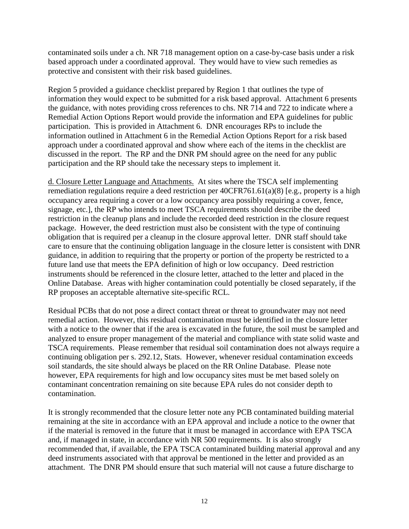contaminated soils under a ch. NR 718 management option on a case-by-case basis under a risk based approach under a coordinated approval. They would have to view such remedies as protective and consistent with their risk based guidelines.

Region 5 provided a guidance checklist prepared by Region 1 that outlines the type of information they would expect to be submitted for a risk based approval. Attachment 6 presents the guidance, with notes providing cross references to chs. NR 714 and 722 to indicate where a Remedial Action Options Report would provide the information and EPA guidelines for public participation. This is provided in Attachment 6. DNR encourages RPs to include the information outlined in Attachment 6 in the Remedial Action Options Report for a risk based approach under a coordinated approval and show where each of the items in the checklist are discussed in the report. The RP and the DNR PM should agree on the need for any public participation and the RP should take the necessary steps to implement it.

d. Closure Letter Language and Attachments. At sites where the TSCA self implementing remediation regulations require a deed restriction per 40CFR761.61(a)(8) [e.g., property is a high occupancy area requiring a cover or a low occupancy area possibly requiring a cover, fence, signage, etc.], the RP who intends to meet TSCA requirements should describe the deed restriction in the cleanup plans and include the recorded deed restriction in the closure request package. However, the deed restriction must also be consistent with the type of continuing obligation that is required per a cleanup in the closure approval letter. DNR staff should take care to ensure that the continuing obligation language in the closure letter is consistent with DNR guidance, in addition to requiring that the property or portion of the property be restricted to a future land use that meets the EPA definition of high or low occupancy. Deed restriction instruments should be referenced in the closure letter, attached to the letter and placed in the Online Database. Areas with higher contamination could potentially be closed separately, if the RP proposes an acceptable alternative site-specific RCL.

Residual PCBs that do not pose a direct contact threat or threat to groundwater may not need remedial action. However, this residual contamination must be identified in the closure letter with a notice to the owner that if the area is excavated in the future, the soil must be sampled and analyzed to ensure proper management of the material and compliance with state solid waste and TSCA requirements. Please remember that residual soil contamination does not always require a continuing obligation per s. 292.12, Stats. However, whenever residual contamination exceeds soil standards, the site should always be placed on the RR Online Database. Please note however, EPA requirements for high and low occupancy sites must be met based solely on contaminant concentration remaining on site because EPA rules do not consider depth to contamination.

It is strongly recommended that the closure letter note any PCB contaminated building material remaining at the site in accordance with an EPA approval and include a notice to the owner that if the material is removed in the future that it must be managed in accordance with EPA TSCA and, if managed in state, in accordance with NR 500 requirements. It is also strongly recommended that, if available, the EPA TSCA contaminated building material approval and any deed instruments associated with that approval be mentioned in the letter and provided as an attachment. The DNR PM should ensure that such material will not cause a future discharge to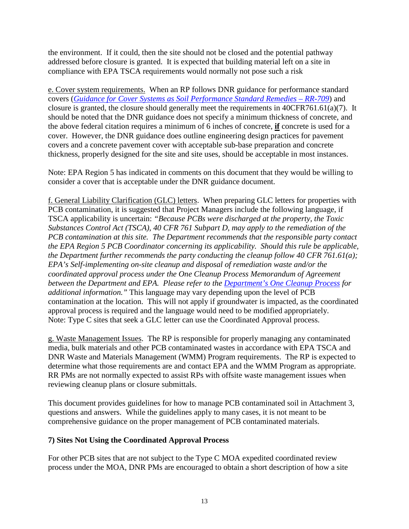the environment. If it could, then the site should not be closed and the potential pathway addressed before closure is granted. It is expected that building material left on a site in compliance with EPA TSCA requirements would normally not pose such a risk

e. Cover system requirements. When an RP follows DNR guidance for performance standard covers (*[Guidance for Cover Systems as Soil Performance Standard Remedies](http://dnr.wi.gov/files/PDF/pubs/rr/RR709.pdf) – RR-709*) and closure is granted, the closure should generally meet the requirements in 40CFR761.61(a)(7). It should be noted that the DNR guidance does not specify a minimum thickness of concrete, and the above federal citation requires a minimum of 6 inches of concrete, **if** concrete is used for a cover. However, the DNR guidance does outline engineering design practices for pavement covers and a concrete pavement cover with acceptable sub-base preparation and concrete thickness, properly designed for the site and site uses, should be acceptable in most instances.

Note: EPA Region 5 has indicated in comments on this document that they would be willing to consider a cover that is acceptable under the DNR guidance document.

f. General Liability Clarification (GLC) letters. When preparing GLC letters for properties with PCB contamination, it is suggested that Project Managers include the following language, if TSCA applicability is uncertain: *"Because PCBs were discharged at the property, the Toxic Substances Control Act (TSCA), 40 CFR 761 Subpart D, may apply to the remediation of the PCB contamination at this site. The Department recommends that the responsible party contact the EPA Region 5 PCB Coordinator concerning its applicability. Should this rule be applicable, the Department further recommends the party conducting the cleanup follow 40 CFR 761.61(a); EPA's Self-implementing on-site cleanup and disposal of remediation waste and/or the coordinated approval process under the One Cleanup Process Memorandum of Agreement between the Department and EPA. Please refer to the [Department's One Cleanup Process](http://dnr.wi.gov/topic/Brownfields/documents/ocp.pdf) for additional information."* This language may vary depending upon the level of PCB contamination at the location. This will not apply if groundwater is impacted, as the coordinated approval process is required and the language would need to be modified appropriately. Note: Type C sites that seek a GLC letter can use the Coordinated Approval process.

g. Waste Management Issues. The RP is responsible for properly managing any contaminated media, bulk materials and other PCB contaminated wastes in accordance with EPA TSCA and DNR Waste and Materials Management (WMM) Program requirements. The RP is expected to determine what those requirements are and contact EPA and the WMM Program as appropriate. RR PMs are not normally expected to assist RPs with offsite waste management issues when reviewing cleanup plans or closure submittals.

This document provides guidelines for how to manage PCB contaminated soil in Attachment 3, questions and answers. While the guidelines apply to many cases, it is not meant to be comprehensive guidance on the proper management of PCB contaminated materials.

## <span id="page-14-0"></span>**7) Sites Not Using the Coordinated Approval Process**

For other PCB sites that are not subject to the Type C MOA expedited coordinated review process under the MOA, DNR PMs are encouraged to obtain a short description of how a site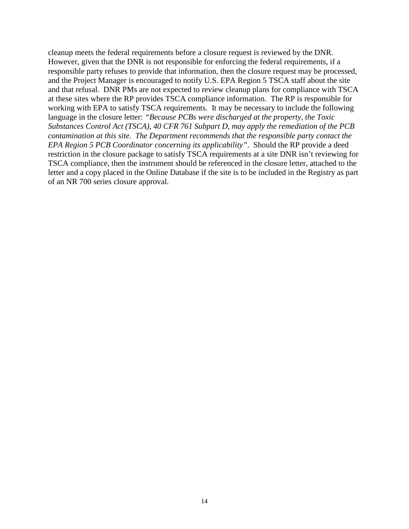cleanup meets the federal requirements before a closure request is reviewed by the DNR. However, given that the DNR is not responsible for enforcing the federal requirements, if a responsible party refuses to provide that information, then the closure request may be processed, and the Project Manager is encouraged to notify U.S. EPA Region 5 TSCA staff about the site and that refusal. DNR PMs are not expected to review cleanup plans for compliance with TSCA at these sites where the RP provides TSCA compliance information. The RP is responsible for working with EPA to satisfy TSCA requirements. It may be necessary to include the following language in the closure letter: *"Because PCBs were discharged at the property, the Toxic Substances Control Act (TSCA), 40 CFR 761 Subpart D, may apply the remediation of the PCB contamination at this site. The Department recommends that the responsible party contact the EPA Region 5 PCB Coordinator concerning its applicability"*. Should the RP provide a deed restriction in the closure package to satisfy TSCA requirements at a site DNR isn't reviewing for TSCA compliance, then the instrument should be referenced in the closure letter, attached to the letter and a copy placed in the Online Database if the site is to be included in the Registry as part of an NR 700 series closure approval.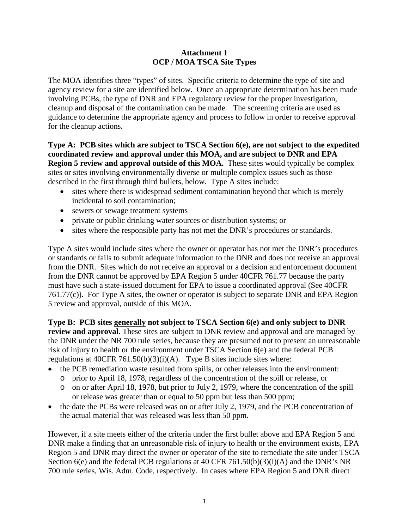#### **Attachment 1 OCP / MOA TSCA Site Types**

The MOA identifies three "types" of sites. Specific criteria to determine the type of site and agency review for a site are identified below. Once an appropriate determination has been made involving PCBs, the type of DNR and EPA regulatory review for the proper investigation, cleanup and disposal of the contamination can be made. The screening criteria are used as guidance to determine the appropriate agency and process to follow in order to receive approval for the cleanup actions.

**Type A: PCB sites which are subject to TSCA Section 6(e), are not subject to the expedited coordinated review and approval under this MOA, and are subject to DNR and EPA Region 5 review and approval outside of this MOA.** These sites would typically be complex sites or sites involving environmentally diverse or multiple complex issues such as those described in the first through third bullets, below. Type A sites include:

- sites where there is widespread sediment contamination beyond that which is merely incidental to soil contamination;
- sewers or sewage treatment systems
- private or public drinking water sources or distribution systems; or
- sites where the responsible party has not met the DNR's procedures or standards.

Type A sites would include sites where the owner or operator has not met the DNR's procedures or standards or fails to submit adequate information to the DNR and does not receive an approval from the DNR. Sites which do not receive an approval or a decision and enforcement document from the DNR cannot be approved by EPA Region 5 under 40CFR 761.77 because the party must have such a state-issued document for EPA to issue a coordinated approval (See 40CFR 761.77(c)). For Type A sites, the owner or operator is subject to separate DNR and EPA Region 5 review and approval, outside of this MOA.

**Type B: PCB sites generally not subject to TSCA Section 6(e) and only subject to DNR review and approval**. These sites are subject to DNR review and approval and are managed by the DNR under the NR 700 rule series, because they are presumed not to present an unreasonable risk of injury to health or the environment under TSCA Section 6(e) and the federal PCB regulations at 40CFR 761.50(b)(3)(i)(A). Type B sites include sites where:

- the PCB remediation waste resulted from spills, or other releases into the environment:
	- o prior to April 18, 1978, regardless of the concentration of the spill or release, or
	- o on or after April 18, 1978, but prior to July 2, 1979, where the concentration of the spill or release was greater than or equal to 50 ppm but less than 500 ppm;
- the date the PCBs were released was on or after July 2, 1979, and the PCB concentration of the actual material that was released was less than 50 ppm.

However, if a site meets either of the criteria under the first bullet above and EPA Region 5 and DNR make a finding that an unreasonable risk of injury to health or the environment exists, EPA Region 5 and DNR may direct the owner or operator of the site to remediate the site under TSCA Section 6(e) and the federal PCB regulations at 40 CFR 761.50(b)(3)(i)(A) and the DNR's NR 700 rule series, Wis. Adm. Code, respectively. In cases where EPA Region 5 and DNR direct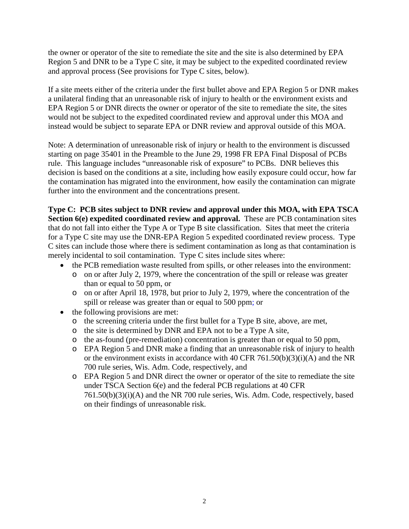the owner or operator of the site to remediate the site and the site is also determined by EPA Region 5 and DNR to be a Type C site, it may be subject to the expedited coordinated review and approval process (See provisions for Type C sites, below).

If a site meets either of the criteria under the first bullet above and EPA Region 5 or DNR makes a unilateral finding that an unreasonable risk of injury to health or the environment exists and EPA Region 5 or DNR directs the owner or operator of the site to remediate the site, the sites would not be subject to the expedited coordinated review and approval under this MOA and instead would be subject to separate EPA or DNR review and approval outside of this MOA.

Note: A determination of unreasonable risk of injury or health to the environment is discussed starting on page 35401 in the Preamble to the June 29, 1998 FR EPA Final Disposal of PCBs rule. This language includes "unreasonable risk of exposure" to PCBs. DNR believes this decision is based on the conditions at a site, including how easily exposure could occur, how far the contamination has migrated into the environment, how easily the contamination can migrate further into the environment and the concentrations present.

**Type C: PCB sites subject to DNR review and approval under this MOA, with EPA TSCA Section 6(e) expedited coordinated review and approval.** These are PCB contamination sites that do not fall into either the Type A or Type B site classification. Sites that meet the criteria for a Type C site may use the DNR-EPA Region 5 expedited coordinated review process. Type C sites can include those where there is sediment contamination as long as that contamination is merely incidental to soil contamination. Type C sites include sites where:

- the PCB remediation waste resulted from spills, or other releases into the environment:
	- o on or after July 2, 1979, where the concentration of the spill or release was greater than or equal to 50 ppm, or
	- o on or after April 18, 1978, but prior to July 2, 1979, where the concentration of the spill or release was greater than or equal to 500 ppm; or
- the following provisions are met:
	- o the screening criteria under the first bullet for a Type B site, above, are met,
	- o the site is determined by DNR and EPA not to be a Type A site,
	- o the as-found (pre-remediation) concentration is greater than or equal to 50 ppm,
	- o EPA Region 5 and DNR make a finding that an unreasonable risk of injury to health or the environment exists in accordance with 40 CFR 761.50(b)(3)(i)(A) and the NR 700 rule series, Wis. Adm. Code, respectively, and
	- o EPA Region 5 and DNR direct the owner or operator of the site to remediate the site under TSCA Section 6(e) and the federal PCB regulations at 40 CFR 761.50(b)(3)(i)(A) and the NR 700 rule series, Wis. Adm. Code, respectively, based on their findings of unreasonable risk.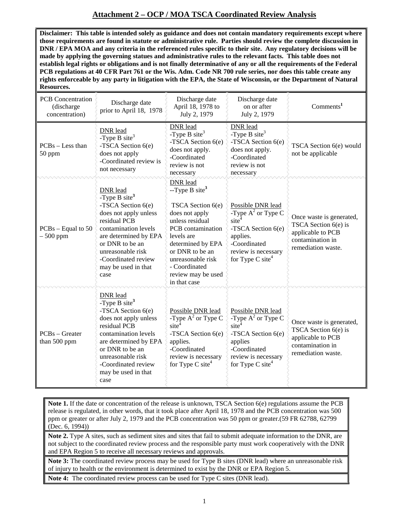# **Attachment 2 – OCP / MOA TSCA Coordinated Review Analysis**

**Disclaimer: This table is intended solely as guidance and does not contain mandatory requirements except where those requirements are found in statute or administrative rule. Parties should review the complete discussion in DNR / EPA MOA and any criteria in the referenced rules specific to their site. Any regulatory decisions will be made by applying the governing statues and administrative rules to the relevant facts. This table does not establish legal rights or obligations and is not finally determinative of any or all the requirements of the Federal PCB regulations at 40 CFR Part 761 or the Wis. Adm. Code NR 700 rule series, nor does this table create any rights enforceable by any party in litigation with the EPA, the State of Wisconsin, or the Department of Natural Resources.**

| <b>PCB</b> Concentration<br>(discharge<br>concentration) | Discharge date<br>prior to April 18, 1978                                                                                                                                                                                                                  | Discharge date<br>April 18, 1978 to<br>July 2, 1979                                                                                                                                                                                                          | Discharge date<br>on or after<br>July 2, 1979                                                                                                                         | Comments <sup>1</sup>                                                                                             |  |
|----------------------------------------------------------|------------------------------------------------------------------------------------------------------------------------------------------------------------------------------------------------------------------------------------------------------------|--------------------------------------------------------------------------------------------------------------------------------------------------------------------------------------------------------------------------------------------------------------|-----------------------------------------------------------------------------------------------------------------------------------------------------------------------|-------------------------------------------------------------------------------------------------------------------|--|
| $PCBs - Less than$<br>50 ppm                             | DNR lead<br>-Type B site <sup>3</sup><br>-TSCA Section 6(e)<br>does not apply<br>-Coordinated review is<br>not necessary                                                                                                                                   | DNR lead<br>DNR lead<br>-Type B site <sup>3</sup><br>-Type B site <sup>3</sup><br>-TSCA Section 6(e)<br>-TSCA Section 6(e)<br>does not apply.<br>does not apply.<br>-Coordinated<br>-Coordinated<br>review is not<br>review is not<br>necessary<br>necessary |                                                                                                                                                                       | TSCA Section 6(e) would<br>not be applicable                                                                      |  |
| $PCBs - Equal to 50$<br>$-500$ ppm                       | <b>DNR</b> lead<br>-Type B site <sup>3</sup><br>-TSCA Section 6(e)<br>does not apply unless<br>residual PCB<br>contamination levels<br>are determined by EPA<br>or DNR to be an<br>unreasonable risk<br>-Coordinated review<br>may be used in that<br>case | DNR lead<br>$-Type B site3$<br>TSCA Section 6(e)<br>does not apply<br>unless residual<br>PCB contamination<br>levels are<br>determined by EPA<br>or DNR to be an<br>unreasonable risk<br>- Coordinated<br>review may be used<br>in that case                 | Possible DNR lead<br>-Type $A^2$ or Type C<br>site<br>-TSCA Section 6(e)<br>applies.<br>-Coordinated<br>review is necessary<br>for Type C site <sup>4</sup>           | Once waste is generated,<br>TSCA Section $6(e)$ is<br>applicable to PCB<br>contamination in<br>remediation waste. |  |
| $PCBs - Greater$<br>than 500 ppm                         | <b>DNR</b> lead<br>-Type B site <sup>3</sup><br>-TSCA Section 6(e)<br>does not apply unless<br>residual PCB<br>contamination levels<br>are determined by EPA<br>or DNR to be an<br>unreasonable risk<br>-Coordinated review<br>may be used in that<br>case | Possible DNR lead<br>-Type $A^2$ or Type C<br>site <sup>4</sup><br>-TSCA Section 6(e)<br>applies.<br>-Coordinated<br>review is necessary<br>for Type C site <sup>4</sup>                                                                                     | Possible DNR lead<br>-Type $A^2$ or Type C<br>$\text{site}^4$<br>-TSCA Section 6(e)<br>applies<br>-Coordinated<br>review is necessary<br>for Type C site <sup>4</sup> | Once waste is generated,<br>TSCA Section $6(e)$ is<br>applicable to PCB<br>contamination in<br>remediation waste. |  |

**Note 1.** If the date or concentration of the release is unknown, TSCA Section 6(e) regulations assume the PCB release is regulated, in other words, that it took place after April 18, 1978 and the PCB concentration was 500 ppm or greater or after July 2, 1979 and the PCB concentration was 50 ppm or greater.(59 FR 62788, 62799 (Dec. 6, 1994))

**Note 2.** Type A sites, such as sediment sites and sites that fail to submit adequate information to the DNR, are not subject to the coordinated review process and the responsible party must work cooperatively with the DNR and EPA Region 5 to receive all necessary reviews and approvals.

**Note 3:** The coordinated review process may be used for Type B sites (DNR lead) where an unreasonable risk of injury to health or the environment is determined to exist by the DNR or EPA Region 5.

**Note 4:** The coordinated review process can be used for Type C sites (DNR lead).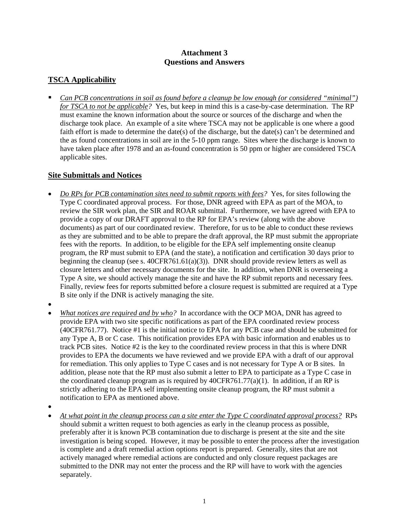## **Attachment 3 Questions and Answers**

# **TSCA Applicability**

 *Can PCB concentrations in soil as found before a cleanup be low enough (or considered "minimal") for TSCA to not be applicable?* Yes, but keep in mind this is a case-by-case determination. The RP must examine the known information about the source or sources of the discharge and when the discharge took place. An example of a site where TSCA may not be applicable is one where a good faith effort is made to determine the date(s) of the discharge, but the date(s) can't be determined and the as found concentrations in soil are in the 5-10 ppm range. Sites where the discharge is known to have taken place after 1978 and an as-found concentration is 50 ppm or higher are considered TSCA applicable sites.

## **Site Submittals and Notices**

- *Do RPs for PCB contamination sites need to submit reports with fees?* Yes, for sites following the Type C coordinated approval process. For those, DNR agreed with EPA as part of the MOA, to review the SIR work plan, the SIR and ROAR submittal. Furthermore, we have agreed with EPA to provide a copy of our DRAFT approval to the RP for EPA's review (along with the above documents) as part of our coordinated review. Therefore, for us to be able to conduct these reviews as they are submitted and to be able to prepare the draft approval, the RP must submit the appropriate fees with the reports. In addition, to be eligible for the EPA self implementing onsite cleanup program, the RP must submit to EPA (and the state), a notification and certification 30 days prior to beginning the cleanup (see s.  $40CFR761.61(a)(3)$ ). DNR should provide review letters as well as closure letters and other necessary documents for the site. In addition, when DNR is overseeing a Type A site, we should actively manage the site and have the RP submit reports and necessary fees. Finally, review fees for reports submitted before a closure request is submitted are required at a Type B site only if the DNR is actively managing the site.
- •
- *What notices are required and by who?* In accordance with the OCP MOA, DNR has agreed to provide EPA with two site specific notifications as part of the EPA coordinated review process (40CFR761.77). Notice #1 is the initial notice to EPA for any PCB case and should be submitted for any Type A, B or C case. This notification provides EPA with basic information and enables us to track PCB sites. Notice #2 is the key to the coordinated review process in that this is where DNR provides to EPA the documents we have reviewed and we provide EPA with a draft of our approval for remediation. This only applies to Type C cases and is not necessary for Type A or B sites. In addition, please note that the RP must also submit a letter to EPA to participate as a Type C case in the coordinated cleanup program as is required by  $40CFR761.77(a)(1)$ . In addition, if an RP is strictly adhering to the EPA self implementing onsite cleanup program, the RP must submit a notification to EPA as mentioned above.
- •
- *At what point in the cleanup process can a site enter the Type C coordinated approval process?* RPs should submit a written request to both agencies as early in the cleanup process as possible, preferably after it is known PCB contamination due to discharge is present at the site and the site investigation is being scoped. However, it may be possible to enter the process after the investigation is complete and a draft remedial action options report is prepared. Generally, sites that are not actively managed where remedial actions are conducted and only closure request packages are submitted to the DNR may not enter the process and the RP will have to work with the agencies separately.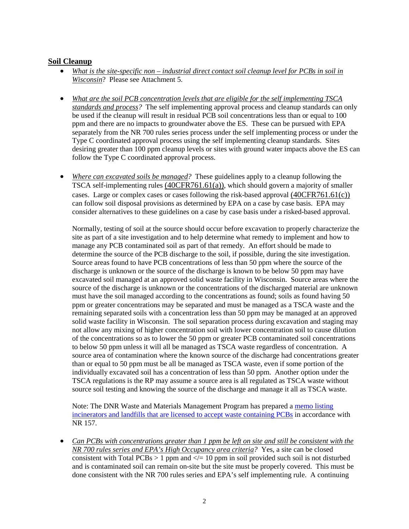#### **Soil Cleanup**

- *What is the site-specific non – industrial direct contact soil cleanup level for PCBs in soil in Wisconsin*? Please see Attachment 5.
- *What are the soil PCB concentration levels that are eligible for the self implementing TSCA standards and process?* The self implementing approval process and cleanup standards can only be used if the cleanup will result in residual PCB soil concentrations less than or equal to 100 ppm and there are no impacts to groundwater above the ES. These can be pursued with EPA separately from the NR 700 rules series process under the self implementing process or under the Type C coordinated approval process using the self implementing cleanup standards. Sites desiring greater than 100 ppm cleanup levels or sites with ground water impacts above the ES can follow the Type C coordinated approval process.
- *Where can excavated soils be managed?* These guidelines apply to a cleanup following the TSCA self-implementing rules (40CFR761.61(a)), which should govern a majority of smaller cases. Large or complex cases or cases following the risk-based approval (40CFR761.61(c)) can follow soil disposal provisions as determined by EPA on a case by case basis. EPA may consider alternatives to these guidelines on a case by case basis under a risked-based approval.

Normally, testing of soil at the source should occur before excavation to properly characterize the site as part of a site investigation and to help determine what remedy to implement and how to manage any PCB contaminated soil as part of that remedy. An effort should be made to determine the source of the PCB discharge to the soil, if possible, during the site investigation. Source areas found to have PCB concentrations of less than 50 ppm where the source of the discharge is unknown or the source of the discharge is known to be below 50 ppm may have excavated soil managed at an approved solid waste facility in Wisconsin. Source areas where the source of the discharge is unknown or the concentrations of the discharged material are unknown must have the soil managed according to the concentrations as found; soils as found having 50 ppm or greater concentrations may be separated and must be managed as a TSCA waste and the remaining separated soils with a concentration less than 50 ppm may be managed at an approved solid waste facility in Wisconsin. The soil separation process during excavation and staging may not allow any mixing of higher concentration soil with lower concentration soil to cause dilution of the concentrations so as to lower the 50 ppm or greater PCB contaminated soil concentrations to below 50 ppm unless it will all be managed as TSCA waste regardless of concentration. A source area of contamination where the known source of the discharge had concentrations greater than or equal to 50 ppm must be all be managed as TSCA waste, even if some portion of the individually excavated soil has a concentration of less than 50 ppm. Another option under the TSCA regulations is the RP may assume a source area is all regulated as TSCA waste without source soil testing and knowing the source of the discharge and manage it all as TSCA waste.

Note: The DNR Waste and Materials Management Program has prepared a [memo listing](http://dnr.wi.gov/topic/demo/documents/nr157-disposal-sites-aug-08.pdf)  [incinerators and landfills that are licensed to accept waste containing PCBs](http://dnr.wi.gov/topic/demo/documents/nr157-disposal-sites-aug-08.pdf) in accordance with NR 157.

• *Can PCBs with concentrations greater than 1 ppm be left on site and still be consistent with the NR 700 rules series and EPA's High Occupancy area criteria?* Yes, a site can be closed consistent with Total PCBs  $> 1$  ppm and  $\lt l = 10$  ppm in soil provided such soil is not disturbed and is contaminated soil can remain on-site but the site must be properly covered. This must be done consistent with the NR 700 rules series and EPA's self implementing rule. A continuing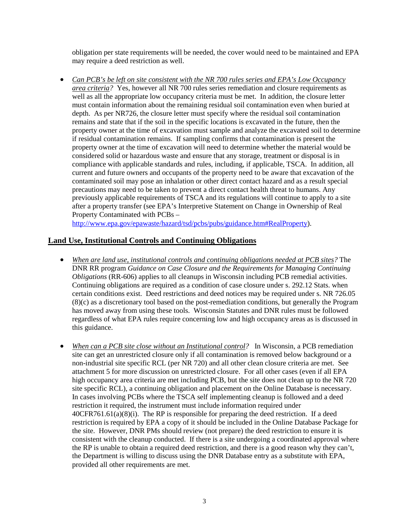obligation per state requirements will be needed, the cover would need to be maintained and EPA may require a deed restriction as well.

• *Can PCB's be left on site consistent with the NR 700 rules series and EPA's Low Occupancy area criteria?* Yes, however all NR 700 rules series remediation and closure requirements as well as all the appropriate low occupancy criteria must be met. In addition, the closure letter must contain information about the remaining residual soil contamination even when buried at depth. As per NR726, the closure letter must specify where the residual soil contamination remains and state that if the soil in the specific locations is excavated in the future, then the property owner at the time of excavation must sample and analyze the excavated soil to determine if residual contamination remains. If sampling confirms that contamination is present the property owner at the time of excavation will need to determine whether the material would be considered solid or hazardous waste and ensure that any storage, treatment or disposal is in compliance with applicable standards and rules, including, if applicable, TSCA. In addition, all current and future owners and occupants of the property need to be aware that excavation of the contaminated soil may pose an inhalation or other direct contact hazard and as a result special precautions may need to be taken to prevent a direct contact health threat to humans. Any previously applicable requirements of TSCA and its regulations will continue to apply to a site after a property transfer (see EPA's Interpretive Statement on Change in Ownership of Real Property Contaminated with PCBs –

[http://www.epa.gov/epawaste/hazard/tsd/pcbs/pubs/guidance.htm#RealProperty\)](http://www.epa.gov/epawaste/hazard/tsd/pcbs/pubs/guidance.htm#RealProperty).

## **Land Use, Institutional Controls and Continuing Obligations**

- *When are land use, institutional controls and continuing obligations needed at PCB sites?* The DNR RR program *Guidance on Case Closure and the Requirements for Managing Continuing Obligations* (RR-606) applies to all cleanups in Wisconsin including PCB remedial activities. Continuing obligations are required as a condition of case closure under s. 292.12 Stats. when certain conditions exist. Deed restrictions and deed notices may be required under s. NR 726.05 (8)(c) as a discretionary tool based on the post-remediation conditions, but generally the Program has moved away from using these tools. Wisconsin Statutes and DNR rules must be followed regardless of what EPA rules require concerning low and high occupancy areas as is discussed in this guidance.
- *When can a PCB site close without an Institutional control?* In Wisconsin, a PCB remediation site can get an unrestricted closure only if all contamination is removed below background or a non-industrial site specific RCL (per NR 720) and all other clean closure criteria are met. See attachment 5 for more discussion on unrestricted closure. For all other cases (even if all EPA high occupancy area criteria are met including PCB, but the site does not clean up to the NR 720 site specific RCL), a continuing obligation and placement on the Online Database is necessary. In cases involving PCBs where the TSCA self implementing cleanup is followed and a deed restriction it required, the instrument must include information required under  $40CFR761.61(a)(8)(i)$ . The RP is responsible for preparing the deed restriction. If a deed restriction is required by EPA a copy of it should be included in the Online Database Package for the site. However, DNR PMs should review (not prepare) the deed restriction to ensure it is consistent with the cleanup conducted. If there is a site undergoing a coordinated approval where the RP is unable to obtain a required deed restriction, and there is a good reason why they can't, the Department is willing to discuss using the DNR Database entry as a substitute with EPA, provided all other requirements are met.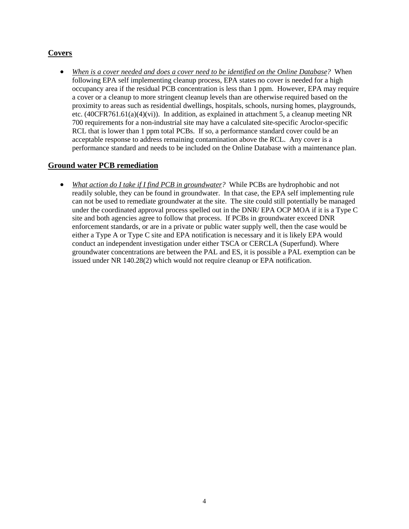# **Covers**

• *When is a cover needed and does a cover need to be identified on the Online Database?* When following EPA self implementing cleanup process, EPA states no cover is needed for a high occupancy area if the residual PCB concentration is less than 1 ppm. However, EPA may require a cover or a cleanup to more stringent cleanup levels than are otherwise required based on the proximity to areas such as residential dwellings, hospitals, schools, nursing homes, playgrounds, etc. (40CFR761.61(a)(4)(vi)). In addition, as explained in attachment 5, a cleanup meeting NR 700 requirements for a non-industrial site may have a calculated site-specific Aroclor-specific RCL that is lower than 1 ppm total PCBs. If so, a performance standard cover could be an acceptable response to address remaining contamination above the RCL. Any cover is a performance standard and needs to be included on the Online Database with a maintenance plan.

#### **Ground water PCB remediation**

• *What action do I take if I find PCB in groundwater?* While PCBs are hydrophobic and not readily soluble, they can be found in groundwater. In that case, the EPA self implementing rule can not be used to remediate groundwater at the site. The site could still potentially be managed under the coordinated approval process spelled out in the DNR/ EPA OCP MOA if it is a Type C site and both agencies agree to follow that process. If PCBs in groundwater exceed DNR enforcement standards, or are in a private or public water supply well, then the case would be either a Type A or Type C site and EPA notification is necessary and it is likely EPA would conduct an independent investigation under either TSCA or CERCLA (Superfund). Where groundwater concentrations are between the PAL and ES, it is possible a PAL exemption can be issued under NR 140.28(2) which would not require cleanup or EPA notification.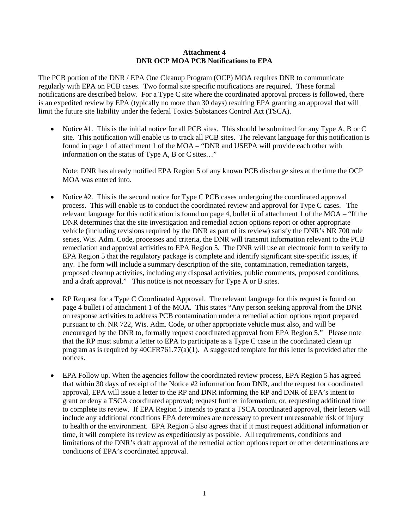#### **Attachment 4 DNR OCP MOA PCB Notifications to EPA**

The PCB portion of the DNR / EPA One Cleanup Program (OCP) MOA requires DNR to communicate regularly with EPA on PCB cases. Two formal site specific notifications are required. These formal notifications are described below. For a Type C site where the coordinated approval process is followed, there is an expedited review by EPA (typically no more than 30 days) resulting EPA granting an approval that will limit the future site liability under the federal Toxics Substances Control Act (TSCA).

• Notice #1. This is the initial notice for all PCB sites. This should be submitted for any Type A, B or C site. This notification will enable us to track all PCB sites. The relevant language for this notification is found in page 1 of attachment 1 of the MOA – "DNR and USEPA will provide each other with information on the status of Type A, B or C sites…"

Note: DNR has already notified EPA Region 5 of any known PCB discharge sites at the time the OCP MOA was entered into.

- Notice #2. This is the second notice for Type C PCB cases undergoing the coordinated approval process. This will enable us to conduct the coordinated review and approval for Type C cases. The relevant language for this notification is found on page 4, bullet ii of attachment 1 of the MOA – "If the DNR determines that the site investigation and remedial action options report or other appropriate vehicle (including revisions required by the DNR as part of its review) satisfy the DNR's NR 700 rule series, Wis. Adm. Code, processes and criteria, the DNR will transmit information relevant to the PCB remediation and approval activities to EPA Region 5. The DNR will use an electronic form to verify to EPA Region 5 that the regulatory package is complete and identify significant site-specific issues, if any. The form will include a summary description of the site, contamination, remediation targets, proposed cleanup activities, including any disposal activities, public comments, proposed conditions, and a draft approval." This notice is not necessary for Type A or B sites.
- RP Request for a Type C Coordinated Approval. The relevant language for this request is found on page 4 bullet i of attachment 1 of the MOA. This states "Any person seeking approval from the DNR on response activities to address PCB contamination under a remedial action options report prepared pursuant to ch. NR 722, Wis. Adm. Code, or other appropriate vehicle must also, and will be encouraged by the DNR to, formally request coordinated approval from EPA Region 5." Please note that the RP must submit a letter to EPA to participate as a Type C case in the coordinated clean up program as is required by  $40CFR761.77(a)(1)$ . A suggested template for this letter is provided after the notices.
- EPA Follow up. When the agencies follow the coordinated review process, EPA Region 5 has agreed that within 30 days of receipt of the Notice #2 information from DNR, and the request for coordinated approval, EPA will issue a letter to the RP and DNR informing the RP and DNR of EPA's intent to grant or deny a TSCA coordinated approval; request further information; or, requesting additional time to complete its review. If EPA Region 5 intends to grant a TSCA coordinated approval, their letters will include any additional conditions EPA determines are necessary to prevent unreasonable risk of injury to health or the environment. EPA Region 5 also agrees that if it must request additional information or time, it will complete its review as expeditiously as possible. All requirements, conditions and limitations of the DNR's draft approval of the remedial action options report or other determinations are conditions of EPA's coordinated approval.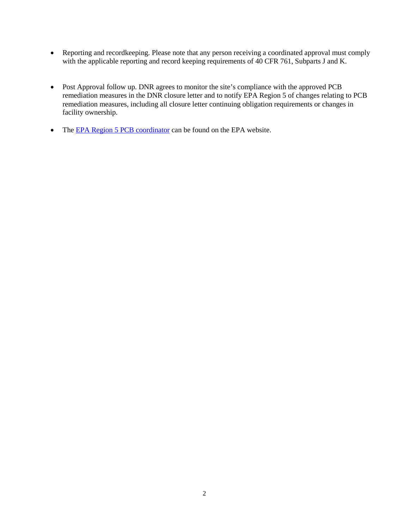- Reporting and recordkeeping. Please note that any person receiving a coordinated approval must comply with the applicable reporting and record keeping requirements of 40 CFR 761, Subparts J and K.
- Post Approval follow up. DNR agrees to monitor the site's compliance with the approved PCB remediation measures in the DNR closure letter and to notify EPA Region 5 of changes relating to PCB remediation measures, including all closure letter continuing obligation requirements or changes in facility ownership.
- The [EPA Region 5 PCB coordinator](http://www.epa.gov/epawaste/hazard/tsd/pcbs/pubs/coordin.htm) can be found on the EPA website.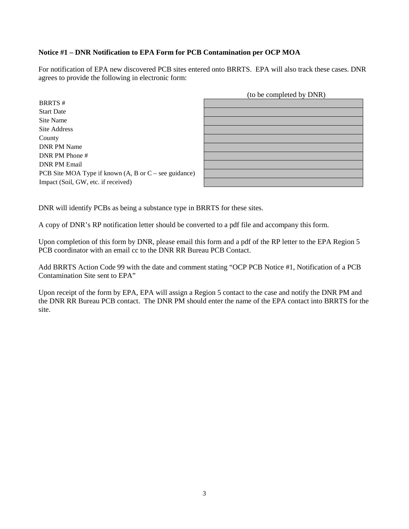#### **Notice #1 – DNR Notification to EPA Form for PCB Contamination per OCP MOA**

For notification of EPA new discovered PCB sites entered onto BRRTS. EPA will also track these cases. DNR agrees to provide the following in electronic form:

BRRTS # Start Date Site Name Site Address County DNR PM Name DNR PM Phone # DNR PM Email PCB Site MOA Type if known (A, B or C – see guidance) Impact (Soil, GW, etc. if received)

| (to be completed by DNR) |  |  |  |  |  |  |  |
|--------------------------|--|--|--|--|--|--|--|
|                          |  |  |  |  |  |  |  |
|                          |  |  |  |  |  |  |  |
|                          |  |  |  |  |  |  |  |
|                          |  |  |  |  |  |  |  |
|                          |  |  |  |  |  |  |  |
|                          |  |  |  |  |  |  |  |
|                          |  |  |  |  |  |  |  |
|                          |  |  |  |  |  |  |  |
|                          |  |  |  |  |  |  |  |
|                          |  |  |  |  |  |  |  |

DNR will identify PCBs as being a substance type in BRRTS for these sites.

A copy of DNR's RP notification letter should be converted to a pdf file and accompany this form.

Upon completion of this form by DNR, please email this form and a pdf of the RP letter to the EPA Region 5 PCB coordinator with an email cc to the DNR RR Bureau PCB Contact.

Add BRRTS Action Code 99 with the date and comment stating "OCP PCB Notice #1, Notification of a PCB Contamination Site sent to EPA"

Upon receipt of the form by EPA, EPA will assign a Region 5 contact to the case and notify the DNR PM and the DNR RR Bureau PCB contact. The DNR PM should enter the name of the EPA contact into BRRTS for the site.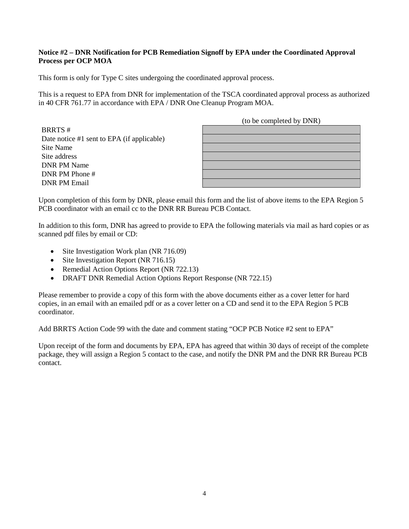#### **Notice #2 – DNR Notification for PCB Remediation Signoff by EPA under the Coordinated Approval Process per OCP MOA**

This form is only for Type C sites undergoing the coordinated approval process.

This is a request to EPA from DNR for implementation of the TSCA coordinated approval process as authorized in 40 CFR 761.77 in accordance with EPA / DNR One Cleanup Program MOA.

(to be completed by DNR) BRRTS # Date notice #1 sent to EPA (if applicable) Site Name Site address DNR PM Name DNR PM Phone # DNR PM Email

Upon completion of this form by DNR, please email this form and the list of above items to the EPA Region 5 PCB coordinator with an email cc to the DNR RR Bureau PCB Contact.

In addition to this form, DNR has agreed to provide to EPA the following materials via mail as hard copies or as scanned pdf files by email or CD:

- Site Investigation Work plan (NR 716.09)
- Site Investigation Report (NR 716.15)
- Remedial Action Options Report (NR 722.13)
- DRAFT DNR Remedial Action Options Report Response (NR 722.15)

Please remember to provide a copy of this form with the above documents either as a cover letter for hard copies, in an email with an emailed pdf or as a cover letter on a CD and send it to the EPA Region 5 PCB coordinator.

Add BRRTS Action Code 99 with the date and comment stating "OCP PCB Notice #2 sent to EPA"

Upon receipt of the form and documents by EPA, EPA has agreed that within 30 days of receipt of the complete package, they will assign a Region 5 contact to the case, and notify the DNR PM and the DNR RR Bureau PCB contact.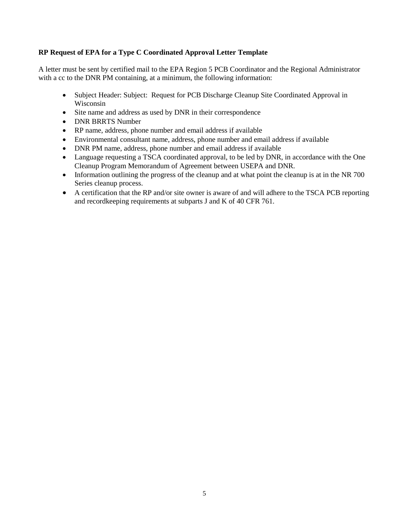#### **RP Request of EPA for a Type C Coordinated Approval Letter Template**

A letter must be sent by certified mail to the EPA Region 5 PCB Coordinator and the Regional Administrator with a cc to the DNR PM containing, at a minimum, the following information:

- Subject Header: Subject: Request for PCB Discharge Cleanup Site Coordinated Approval in Wisconsin
- Site name and address as used by DNR in their correspondence
- DNR BRRTS Number
- RP name, address, phone number and email address if available
- Environmental consultant name, address, phone number and email address if available
- DNR PM name, address, phone number and email address if available
- Language requesting a TSCA coordinated approval, to be led by DNR, in accordance with the One Cleanup Program Memorandum of Agreement between USEPA and DNR.
- Information outlining the progress of the cleanup and at what point the cleanup is at in the NR 700 Series cleanup process.
- A certification that the RP and/or site owner is aware of and will adhere to the TSCA PCB reporting and recordkeeping requirements at subparts J and K of 40 CFR 761.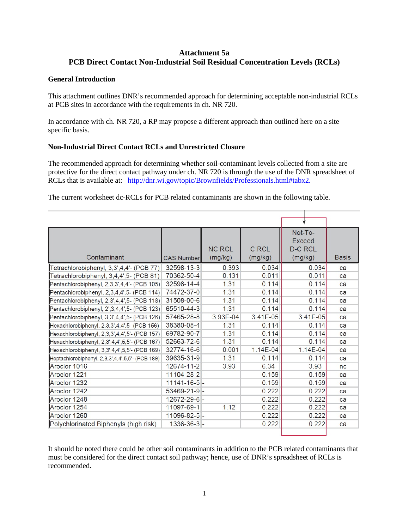#### **Attachment 5a PCB Direct Contact Non-Industrial Soil Residual Concentration Levels (RCLs)**

#### **General Introduction**

This attachment outlines DNR's recommended approach for determining acceptable non-industrial RCLs at PCB sites in accordance with the requirements in ch. NR 720.

In accordance with ch. NR 720, a RP may propose a different approach than outlined here on a site specific basis.

#### **Non-Industrial Direct Contact RCLs and Unrestricted Closure**

The recommended approach for determining whether soil-contaminant levels collected from a site are protective for the direct contact pathway under ch. NR 720 is through the use of the DNR spreadsheet of RCLs that is available at: [http://dnr.wi.gov/topic/Brownfields/Professionals.html#tabx2.](http://dnr.wi.gov/topic/Brownfields/Professionals.html%23tabx2)

The current worksheet dc-RCLs for PCB related contaminants are shown in the following table.

|                                                  |                    |               |          | Not-To-        |              |
|--------------------------------------------------|--------------------|---------------|----------|----------------|--------------|
|                                                  |                    |               |          | <b>Exceed</b>  |              |
|                                                  |                    | <b>NC RCL</b> | C RCL    | <b>D-C RCL</b> |              |
| Contaminant                                      | <b>CAS Number</b>  | (mg/kg)       | (mg/kg)  | (mg/kg)        | <b>Basis</b> |
| Tetrachlorobiphenyl, 3,3',4,4'- (PCB 77)         | 32598-13-3         | 0.393         | 0.034    | 0.034          | ca           |
| Tetrachlorobiphenyl, 3,4,4',5- (PCB 81)          | 70362-50-4         | 0.131         | 0.011    | 0.011          | ca           |
| Pentachlorobiphenyl, 2,3,3',4,4'- (PCB 105)      | 32598-14-4         | 1.31          | 0.114    | 0.114          | ca           |
| Pentachlorobiphenyl, 2,3,4,4',5- (PCB 114)       | 74472-37-0         | 1.31          | 0.114    | 0.114          | ca           |
| Pentachlorobiphenyl, 2,3',4,4',5- (PCB 118)      | 31508-00-6         | 1.31          | 0.114    | 0.114          | ca           |
| Pentachlorobiphenyl, 2', 3, 4, 4', 5- (PCB 123)  | 65510-44-3         | 1.31          | 0.114    | 0.114          | ca           |
| Pentachlorobiphenyl, 3,3',4,4',5- (PCB 126)      | 57465-28-8         | 3.93E-04      | 3.41E-05 | $3.41E - 05$   | ca           |
| Hexachlorobiphenyl, 2,3,3',4,4',5- (PCB 156)     | 38380-08-4         | 1.31          | 0.114    | 0.114          | ca           |
| Hexachlorobiphenyl, 2,3,3',4,4',5'- (PCB 157)    | 69782-90-7         | 1.31          | 0.114    | 0.114          | ca           |
| Hexachlorobiphenyl, 2,3',4,4',5,5'- (PCB 167)    | 52663-72-6         | 1.31          | 0.114    | 0.114          | ca           |
| Hexachlorobiphenyl, 3,3',4,4',5,5'- (PCB 169)    | 32774-16-6         | 0.001         | 1.14E-04 | 1.14E-04       | ca           |
| Heptachlorobiphenyl, 2,3,3',4,4',5,5'- (PCB 189) | 39635-31-9         | 1.31          | 0.114    | 0.114          | ca           |
| Aroclor 1016                                     | 12674-11-2         | 3.93          | 6.34     | 3.93           | nc           |
| Aroclor 1221                                     | $11104 - 28 - 2$   |               | 0.159    | 0.159          | ca           |
| Aroclor 1232                                     | $11141 - 16 - 5$ - |               | 0.159    | 0.159          | ca           |
| Aroclor 1242                                     | $53469 - 21 - 9$ - |               | 0.222    | 0.222          | ca           |
| Aroclor 1248                                     | 12672-29-6 -       |               | 0.222    | 0.222          | ca           |
| Aroclor 1254                                     | 11097-69-1         | 1.12          | 0.222    | 0.222          | ca           |
| Aroclor 1260                                     | 11096-82-5 -       |               | 0.222    | 0.222          | ca           |
| Polychlorinated Biphenyls (high risk)            | $1336 - 36 - 3$ -  |               | 0.222    | 0.222          | ca           |

It should be noted there could be other soil contaminants in addition to the PCB related contaminants that must be considered for the direct contact soil pathway; hence, use of DNR's spreadsheet of RCLs is recommended.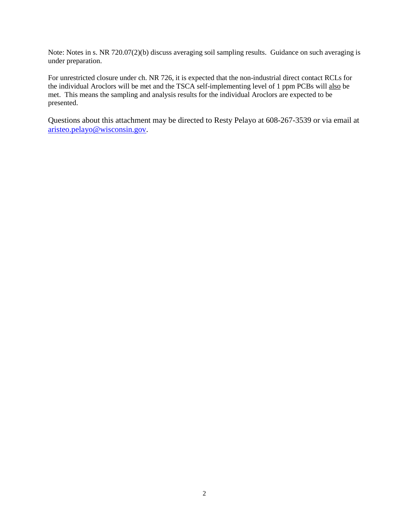Note: Notes in s. NR 720.07(2)(b) discuss averaging soil sampling results. Guidance on such averaging is under preparation.

For unrestricted closure under ch. NR 726, it is expected that the non-industrial direct contact RCLs for the individual Aroclors will be met and the TSCA self-implementing level of 1 ppm PCBs will also be met. This means the sampling and analysis results for the individual Aroclors are expected to be presented.

Questions about this attachment may be directed to Resty Pelayo at 608-267-3539 or via email at [aristeo.pelayo@wisconsin.gov.](mailto:aristeo.pelayo@wisconsin.gov)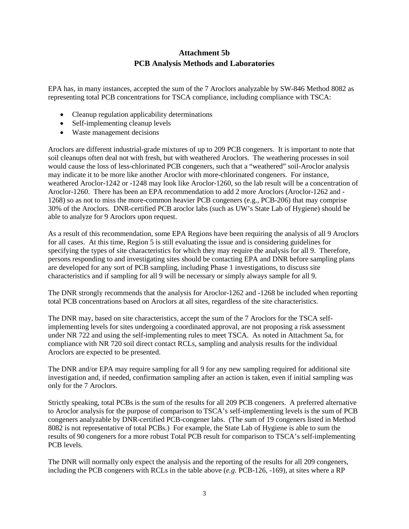# **Attachment 5b PCB Analysis Methods and Laboratories**

EPA has, in many instances, accepted the sum of the 7 Aroclors analyzable by SW-846 Method 8082 as representing total PCB concentrations for TSCA compliance, including compliance with TSCA:

- Cleanup regulation applicability determinations
- Self-implementing cleanup levels
- Waste management decisions

Aroclors are different industrial-grade mixtures of up to 209 PCB congeners. It is important to note that soil cleanups often deal not with fresh, but with weathered Aroclors. The weathering processes in soil would cause the loss of less-chlorinated PCB congeners, such that a "weathered" soil-Aroclor analysis may indicate it to be more like another Aroclor with more-chlorinated congeners. For instance, weathered Aroclor-1242 or -1248 may look like Aroclor-1260, so the lab result will be a concentration of Aroclor-1260. There has been an EPA recommendation to add 2 more Aroclors (Aroclor-1262 and - 1268) so as not to miss the more-common heavier PCB congeners (e.g., PCB-206) that may comprise 30% of the Aroclors. DNR-certified PCB aroclor labs (such as UW's State Lab of Hygiene) should be able to analyze for 9 Aroclors upon request.

As a result of this recommendation, some EPA Regions have been requiring the analysis of all 9 Aroclors for all cases. At this time, Region 5 is still evaluating the issue and is considering guidelines for specifying the types of site characteristics for which they may require the analysis for all 9. Therefore, persons responding to and investigating sites should be contacting EPA and DNR before sampling plans are developed for any sort of PCB sampling, including Phase 1 investigations, to discuss site characteristics and if sampling for all 9 will be necessary or simply always sample for all 9.

The DNR strongly recommends that the analysis for Aroclor-1262 and -1268 be included when reporting total PCB concentrations based on Aroclors at all sites, regardless of the site characteristics.

The DNR may, based on site characteristics, accept the sum of the 7 Aroclors for the TSCA selfimplementing levels for sites undergoing a coordinated approval, are not proposing a risk assessment under NR 722 and using the self-implementing rules to meet TSCA. As noted in Attachment 5a, for compliance with NR 720 soil direct contact RCLs, sampling and analysis results for the individual Aroclors are expected to be presented.

The DNR and/or EPA may require sampling for all 9 for any new sampling required for additional site investigation and, if needed, confirmation sampling after an action is taken, even if initial sampling was only for the 7 Aroclors.

Strictly speaking, total PCBs is the sum of the results for all 209 PCB congeners. A preferred alternative to Aroclor analysis for the purpose of comparison to TSCA's self-implementing levels is the sum of PCB congeners analyzable by DNR-certified PCB-congener labs. (The sum of 19 congeners listed in Method 8082 is not representative of total PCBs.) For example, the State Lab of Hygiene is able to sum the results of 90 congeners for a more robust Total PCB result for comparison to TSCA's self-implementing PCB levels.

The DNR will normally only expect the analysis and the reporting of the results for all 209 congeners, including the PCB congeners with RCLs in the table above (*e.g.* PCB-126, -169), at sites where a RP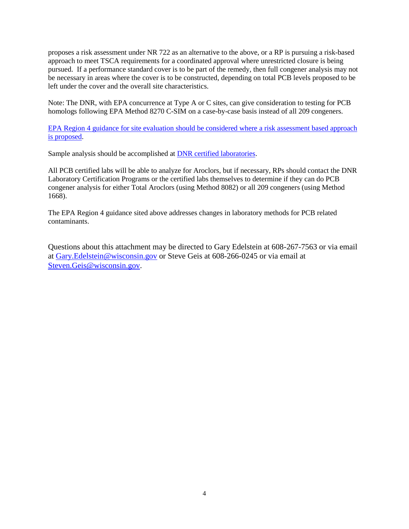proposes a risk assessment under NR 722 as an alternative to the above, or a RP is pursuing a risk-based approach to meet TSCA requirements for a coordinated approval where unrestricted closure is being pursued. If a performance standard cover is to be part of the remedy, then full congener analysis may not be necessary in areas where the cover is to be constructed, depending on total PCB levels proposed to be left under the cover and the overall site characteristics.

Note: The DNR, with EPA concurrence at Type A or C sites, can give consideration to testing for PCB homologs following EPA Method 8270 C-SIM on a case-by-case basis instead of all 209 congeners.

[EPA Region 4 guidance for site evaluation should be considered where a risk assessment based approach](http://www.epa.gov/region4/superfund/images/allprogrammedia/pdfs/riskassesspcbpaper05152013.pdf)  [is proposed.](http://www.epa.gov/region4/superfund/images/allprogrammedia/pdfs/riskassesspcbpaper05152013.pdf)

Sample analysis should be accomplished at DNR [certified laboratories.](http://dnr.wi.gov/regulations/labcert/lablists.html)

All PCB certified labs will be able to analyze for Aroclors, but if necessary, RPs should contact the DNR Laboratory Certification Programs or the certified labs themselves to determine if they can do PCB congener analysis for either Total Aroclors (using Method 8082) or all 209 congeners (using Method 1668).

The EPA Region 4 guidance sited above addresses changes in laboratory methods for PCB related contaminants.

Questions about this attachment may be directed to Gary Edelstein at 608-267-7563 or via email at [Gary.Edelstein@wisconsin.gov](mailto:Gary.Edelstein@wisconsin.gov) or Steve Geis at 608-266-0245 or via email at [Steven.Geis@wisconsin.gov.](mailto:Steven.Geis@wisconsin.gov)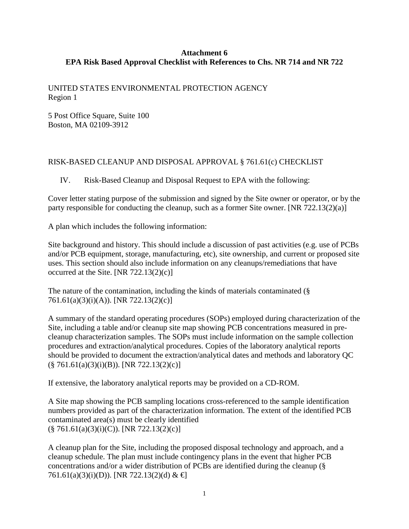#### **Attachment 6 EPA Risk Based Approval Checklist with References to Chs. NR 714 and NR 722**

UNITED STATES ENVIRONMENTAL PROTECTION AGENCY Region 1

5 Post Office Square, Suite 100 Boston, MA 02109-3912

## RISK-BASED CLEANUP AND DISPOSAL APPROVAL § 761.61(c) CHECKLIST

IV. Risk-Based Cleanup and Disposal Request to EPA with the following:

Cover letter stating purpose of the submission and signed by the Site owner or operator, or by the party responsible for conducting the cleanup, such as a former Site owner. [NR 722.13(2)(a)]

A plan which includes the following information:

Site background and history. This should include a discussion of past activities (e.g. use of PCBs and/or PCB equipment, storage, manufacturing, etc), site ownership, and current or proposed site uses. This section should also include information on any cleanups/remediations that have occurred at the Site. [NR  $722.13(2)(c)$ ]

The nature of the contamination, including the kinds of materials contaminated (§ 761.61(a)(3)(i)(A)). [NR 722.13(2)(c)]

A summary of the standard operating procedures (SOPs) employed during characterization of the Site, including a table and/or cleanup site map showing PCB concentrations measured in precleanup characterization samples. The SOPs must include information on the sample collection procedures and extraction/analytical procedures. Copies of the laboratory analytical reports should be provided to document the extraction/analytical dates and methods and laboratory QC  $(\S$  761.61(a)(3)(i)(B)). [NR 722.13(2)(c)]

If extensive, the laboratory analytical reports may be provided on a CD-ROM.

A Site map showing the PCB sampling locations cross-referenced to the sample identification numbers provided as part of the characterization information. The extent of the identified PCB contaminated area(s) must be clearly identified  $(\S$  761.61(a)(3)(i)(C)). [NR 722.13(2)(c)]

A cleanup plan for the Site, including the proposed disposal technology and approach, and a cleanup schedule. The plan must include contingency plans in the event that higher PCB concentrations and/or a wider distribution of PCBs are identified during the cleanup (§ 761.61(a)(3)(i)(D)). [NR 722.13(2)(d) &  $\bigoplus$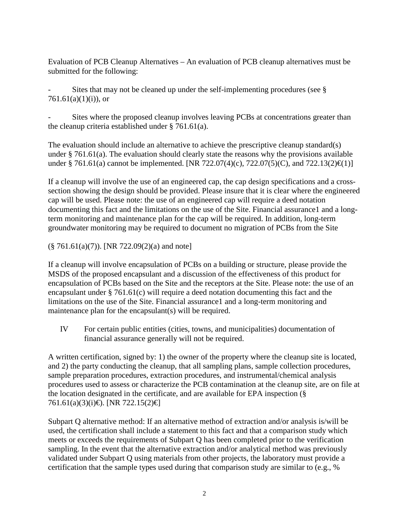Evaluation of PCB Cleanup Alternatives – An evaluation of PCB cleanup alternatives must be submitted for the following:

Sites that may not be cleaned up under the self-implementing procedures (see  $\S$ )  $761.61(a)(1)(i)$ , or

Sites where the proposed cleanup involves leaving PCBs at concentrations greater than the cleanup criteria established under § 761.61(a).

The evaluation should include an alternative to achieve the prescriptive cleanup standard(s) under § 761.61(a). The evaluation should clearly state the reasons why the provisions available under § 761.61(a) cannot be implemented. [NR 722.07(4)(c), 722.07(5)(C), and 722.13(2) $\in$ (1)]

If a cleanup will involve the use of an engineered cap, the cap design specifications and a crosssection showing the design should be provided. Please insure that it is clear where the engineered cap will be used. Please note: the use of an engineered cap will require a deed notation documenting this fact and the limitations on the use of the Site. Financial assurance1 and a longterm monitoring and maintenance plan for the cap will be required. In addition, long-term groundwater monitoring may be required to document no migration of PCBs from the Site

 $(\S$  761.61(a)(7)). [NR 722.09(2)(a) and note]

If a cleanup will involve encapsulation of PCBs on a building or structure, please provide the MSDS of the proposed encapsulant and a discussion of the effectiveness of this product for encapsulation of PCBs based on the Site and the receptors at the Site. Please note: the use of an encapsulant under § 761.61(c) will require a deed notation documenting this fact and the limitations on the use of the Site. Financial assurance1 and a long-term monitoring and maintenance plan for the encapsulant(s) will be required.

IV For certain public entities (cities, towns, and municipalities) documentation of financial assurance generally will not be required.

A written certification, signed by: 1) the owner of the property where the cleanup site is located, and 2) the party conducting the cleanup, that all sampling plans, sample collection procedures, sample preparation procedures, extraction procedures, and instrumental/chemical analysis procedures used to assess or characterize the PCB contamination at the cleanup site, are on file at the location designated in the certificate, and are available for EPA inspection (§ 761.61(a)(3)(i)€). [NR 722.15(2)€]

Subpart Q alternative method: If an alternative method of extraction and/or analysis is/will be used, the certification shall include a statement to this fact and that a comparison study which meets or exceeds the requirements of Subpart Q has been completed prior to the verification sampling. In the event that the alternative extraction and/or analytical method was previously validated under Subpart Q using materials from other projects, the laboratory must provide a certification that the sample types used during that comparison study are similar to (e.g., %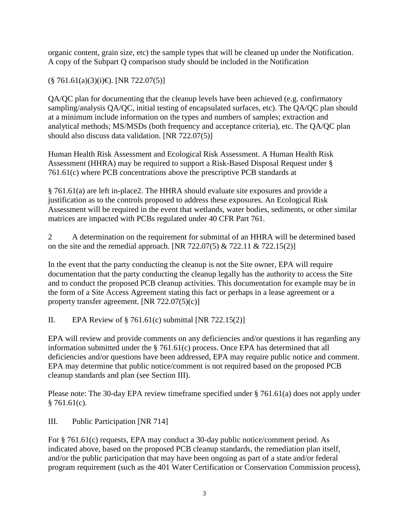organic content, grain size, etc) the sample types that will be cleaned up under the Notification. A copy of the Subpart Q comparison study should be included in the Notification

 $(\S$  761.61(a)(3)(i)€). [NR 722.07(5)]

QA/QC plan for documenting that the cleanup levels have been achieved (e.g. confirmatory sampling/analysis QA/QC, initial testing of encapsulated surfaces, etc). The QA/QC plan should at a minimum include information on the types and numbers of samples; extraction and analytical methods; MS/MSDs (both frequency and acceptance criteria), etc. The QA/QC plan should also discuss data validation. [NR 722.07(5)]

Human Health Risk Assessment and Ecological Risk Assessment. A Human Health Risk Assessment (HHRA) may be required to support a Risk-Based Disposal Request under § 761.61(c) where PCB concentrations above the prescriptive PCB standards at

§ 761.61(a) are left in-place2. The HHRA should evaluate site exposures and provide a justification as to the controls proposed to address these exposures. An Ecological Risk Assessment will be required in the event that wetlands, water bodies, sediments, or other similar matrices are impacted with PCBs regulated under 40 CFR Part 761.

2 A determination on the requirement for submittal of an HHRA will be determined based on the site and the remedial approach. [NR 722.07(5)  $& 722.11 & 722.15(2)$ ]

In the event that the party conducting the cleanup is not the Site owner, EPA will require documentation that the party conducting the cleanup legally has the authority to access the Site and to conduct the proposed PCB cleanup activities. This documentation for example may be in the form of a Site Access Agreement stating this fact or perhaps in a lease agreement or a property transfer agreement. [NR 722.07(5)(c)]

II. EPA Review of  $\S 761.61(c)$  submittal [NR 722.15(2)]

EPA will review and provide comments on any deficiencies and/or questions it has regarding any information submitted under the § 761.61(c) process. Once EPA has determined that all deficiencies and/or questions have been addressed, EPA may require public notice and comment. EPA may determine that public notice/comment is not required based on the proposed PCB cleanup standards and plan (see Section III).

Please note: The 30-day EPA review timeframe specified under § 761.61(a) does not apply under  $§ 761.61(c).$ 

III. Public Participation [NR 714]

For § 761.61(c) requests, EPA may conduct a 30-day public notice/comment period. As indicated above, based on the proposed PCB cleanup standards, the remediation plan itself, and/or the public participation that may have been ongoing as part of a state and/or federal program requirement (such as the 401 Water Certification or Conservation Commission process),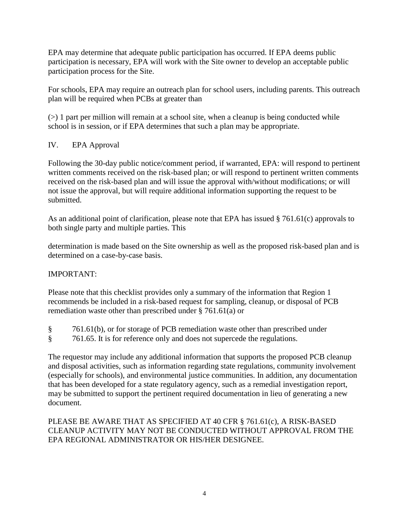EPA may determine that adequate public participation has occurred. If EPA deems public participation is necessary, EPA will work with the Site owner to develop an acceptable public participation process for the Site.

For schools, EPA may require an outreach plan for school users, including parents. This outreach plan will be required when PCBs at greater than

 $(>)$  1 part per million will remain at a school site, when a cleanup is being conducted while school is in session, or if EPA determines that such a plan may be appropriate.

# IV. EPA Approval

Following the 30-day public notice/comment period, if warranted, EPA: will respond to pertinent written comments received on the risk-based plan; or will respond to pertinent written comments received on the risk-based plan and will issue the approval with/without modifications; or will not issue the approval, but will require additional information supporting the request to be submitted.

As an additional point of clarification, please note that EPA has issued § 761.61(c) approvals to both single party and multiple parties. This

determination is made based on the Site ownership as well as the proposed risk-based plan and is determined on a case-by-case basis.

# IMPORTANT:

Please note that this checklist provides only a summary of the information that Region 1 recommends be included in a risk-based request for sampling, cleanup, or disposal of PCB remediation waste other than prescribed under § 761.61(a) or

- § 761.61(b), or for storage of PCB remediation waste other than prescribed under
- § 761.65. It is for reference only and does not supercede the regulations.

The requestor may include any additional information that supports the proposed PCB cleanup and disposal activities, such as information regarding state regulations, community involvement (especially for schools), and environmental justice communities. In addition, any documentation that has been developed for a state regulatory agency, such as a remedial investigation report, may be submitted to support the pertinent required documentation in lieu of generating a new document.

# PLEASE BE AWARE THAT AS SPECIFIED AT 40 CFR § 761.61(c), A RISK-BASED CLEANUP ACTIVITY MAY NOT BE CONDUCTED WITHOUT APPROVAL FROM THE EPA REGIONAL ADMINISTRATOR OR HIS/HER DESIGNEE.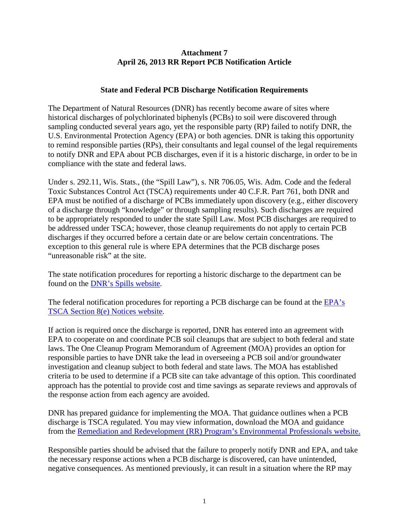#### **Attachment 7 April 26, 2013 RR Report PCB Notification Article**

#### **State and Federal PCB Discharge Notification Requirements**

The Department of Natural Resources (DNR) has recently become aware of sites where historical discharges of polychlorinated biphenyls (PCBs) to soil were discovered through sampling conducted several years ago, yet the responsible party (RP) failed to notify DNR, the U.S. Environmental Protection Agency (EPA) or both agencies. DNR is taking this opportunity to remind responsible parties (RPs), their consultants and legal counsel of the legal requirements to notify DNR and EPA about PCB discharges, even if it is a historic discharge, in order to be in compliance with the state and federal laws.

Under s. 292.11, Wis. Stats., (the "Spill Law"), s. NR 706.05, Wis. Adm. Code and the federal Toxic Substances Control Act (TSCA) requirements under 40 C.F.R. Part 761, both DNR and EPA must be notified of a discharge of PCBs immediately upon discovery (e.g., either discovery of a discharge through "knowledge" or through sampling results). Such discharges are required to be appropriately responded to under the state Spill Law. Most PCB discharges are required to be addressed under TSCA; however, those cleanup requirements do not apply to certain PCB discharges if they occurred before a certain date or are below certain concentrations. The exception to this general rule is where EPA determines that the PCB discharge poses "unreasonable risk" at the site.

The state notification procedures for reporting a historic discharge to the department can be found on the [DNR's Spills website.](http://dnr.wi.gov/topic/Spills/report.html)

The federal notification procedures for reporting a PCB discharge can be found at the [EPA's](http://www.epa.gov/oppt/tsca8e/pubs/reportingrequirements.html)  [TSCA Section 8\(e\) Notices website.](http://www.epa.gov/oppt/tsca8e/pubs/reportingrequirements.html)

If action is required once the discharge is reported, DNR has entered into an agreement with EPA to cooperate on and coordinate PCB soil cleanups that are subject to both federal and state laws. The One Cleanup Program Memorandum of Agreement (MOA) provides an option for responsible parties to have DNR take the lead in overseeing a PCB soil and/or groundwater investigation and cleanup subject to both federal and state laws. The MOA has established criteria to be used to determine if a PCB site can take advantage of this option. This coordinated approach has the potential to provide cost and time savings as separate reviews and approvals of the response action from each agency are avoided.

DNR has prepared guidance for implementing the MOA. That guidance outlines when a PCB discharge is TSCA regulated. You may view information, download the MOA and guidance from the [Remediation and Redevelopment \(RR\) Program's Environmental Professionals website.](http://dnr.wi.gov/topic/Brownfields/Professionals.html#tabx4)

Responsible parties should be advised that the failure to properly notify DNR and EPA, and take the necessary response actions when a PCB discharge is discovered, can have unintended, negative consequences. As mentioned previously, it can result in a situation where the RP may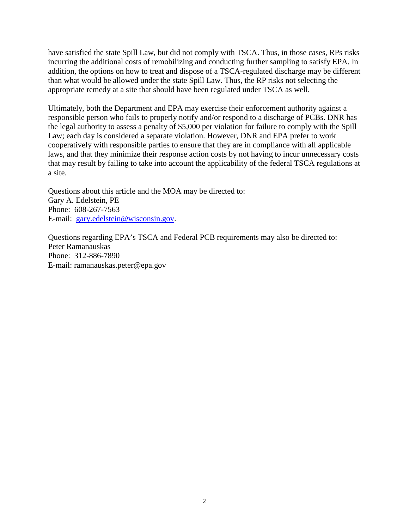have satisfied the state Spill Law, but did not comply with TSCA. Thus, in those cases, RPs risks incurring the additional costs of remobilizing and conducting further sampling to satisfy EPA. In addition, the options on how to treat and dispose of a TSCA-regulated discharge may be different than what would be allowed under the state Spill Law. Thus, the RP risks not selecting the appropriate remedy at a site that should have been regulated under TSCA as well.

Ultimately, both the Department and EPA may exercise their enforcement authority against a responsible person who fails to properly notify and/or respond to a discharge of PCBs. DNR has the legal authority to assess a penalty of \$5,000 per violation for failure to comply with the Spill Law; each day is considered a separate violation. However, DNR and EPA prefer to work cooperatively with responsible parties to ensure that they are in compliance with all applicable laws, and that they minimize their response action costs by not having to incur unnecessary costs that may result by failing to take into account the applicability of the federal TSCA regulations at a site.

Questions about this article and the MOA may be directed to: Gary A. Edelstein, PE Phone: 608-267-7563 E-mail: [gary.edelstein@wisconsin.gov.](mailto:gary.edelstein@wisconsin.gov)

Questions regarding EPA's TSCA and Federal PCB requirements may also be directed to: Peter Ramanauskas Phone: 312-886-7890 E-mail: ramanauskas.peter@epa.gov